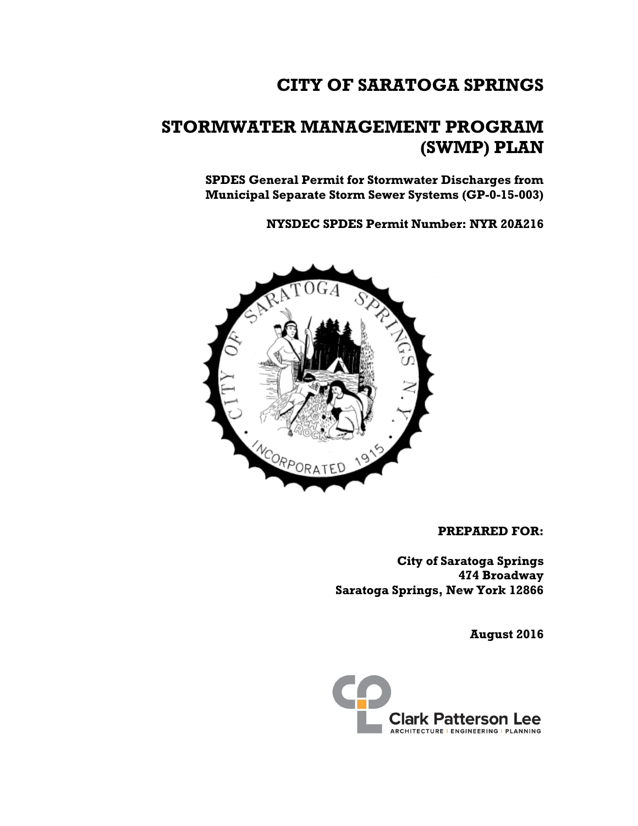# **CITY OF SARATOGA SPRINGS**

# **STORMWATER MANAGEMENT PROGRAM (SWMP) PLAN**

**SPDES General Permit for Stormwater Discharges from Municipal Separate Storm Sewer Systems (GP-0-15-003)**

**NYSDEC SPDES Permit Number: NYR 20A216**



#### **PREPARED FOR:**

**City of Saratoga Springs 474 Broadway Saratoga Springs, New York 12866**

**August 2016**

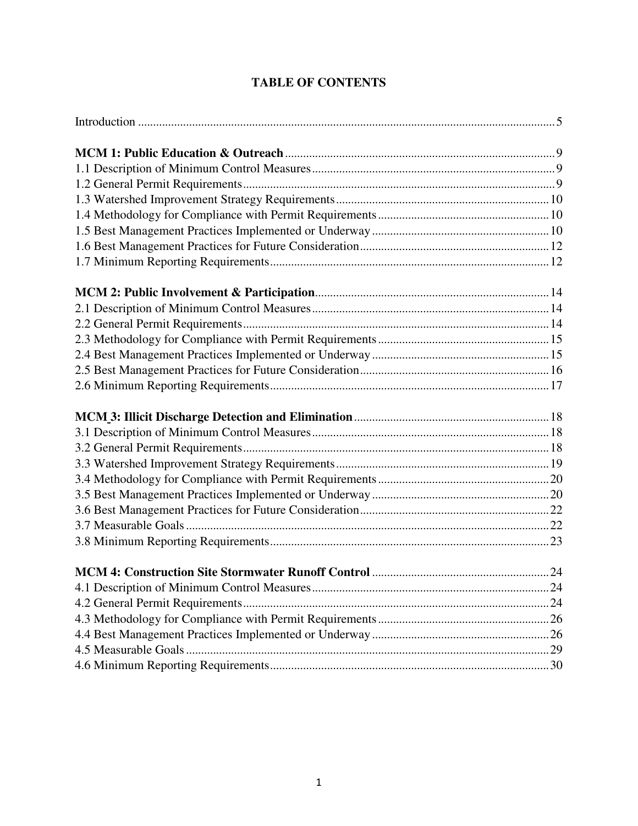#### **TABLE OF CONTENTS**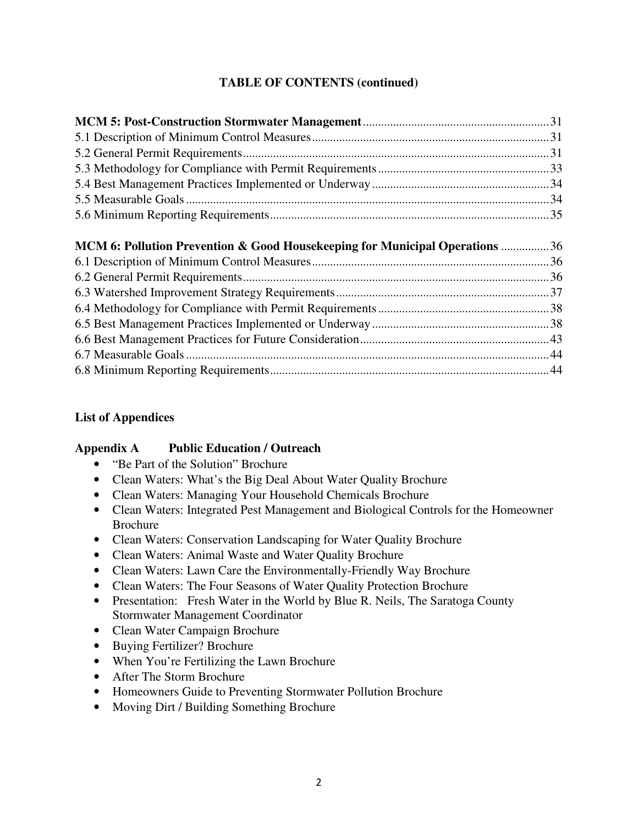#### **TABLE OF CONTENTS (continued)**

# **MCM 6: Pollution Prevention & Good Housekeeping for Municipal Operations** ................ 36

#### **List of Appendices**

#### **Appendix A Public Education / Outreach**

- "Be Part of the Solution" Brochure
- Clean Waters: What's the Big Deal About Water Quality Brochure
- Clean Waters: Managing Your Household Chemicals Brochure
- Clean Waters: Integrated Pest Management and Biological Controls for the Homeowner Brochure
- Clean Waters: Conservation Landscaping for Water Quality Brochure
- Clean Waters: Animal Waste and Water Quality Brochure
- Clean Waters: Lawn Care the Environmentally-Friendly Way Brochure
- Clean Waters: The Four Seasons of Water Quality Protection Brochure
- Presentation: Fresh Water in the World by Blue R. Neils, The Saratoga County Stormwater Management Coordinator
- Clean Water Campaign Brochure
- Buying Fertilizer? Brochure
- When You're Fertilizing the Lawn Brochure
- After The Storm Brochure
- Homeowners Guide to Preventing Stormwater Pollution Brochure
- Moving Dirt / Building Something Brochure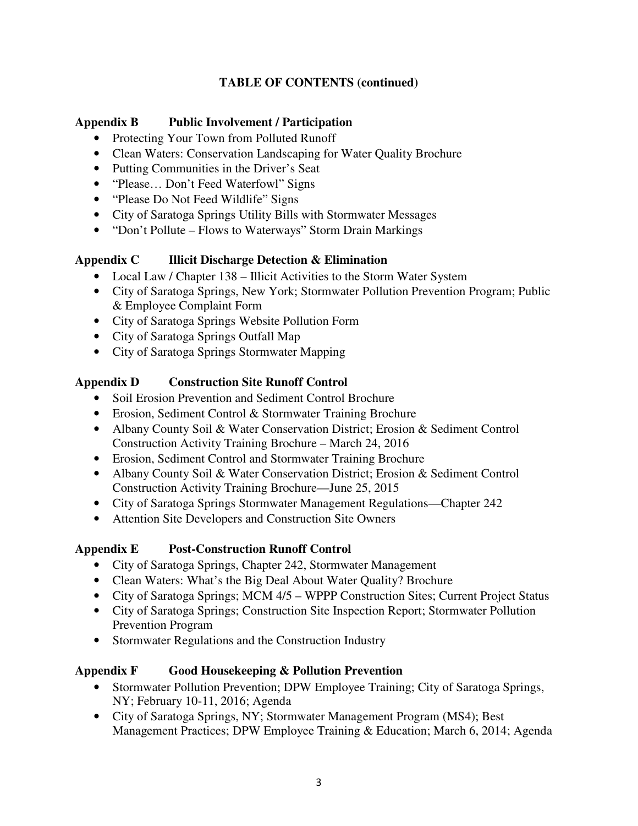#### **TABLE OF CONTENTS (continued)**

#### **Appendix B Public Involvement / Participation**

- Protecting Your Town from Polluted Runoff
- Clean Waters: Conservation Landscaping for Water Quality Brochure
- Putting Communities in the Driver's Seat
- "Please... Don't Feed Waterfowl" Signs
- "Please Do Not Feed Wildlife" Signs
- City of Saratoga Springs Utility Bills with Stormwater Messages
- "Don't Pollute Flows to Waterways" Storm Drain Markings

#### **Appendix C Illicit Discharge Detection & Elimination**

- Local Law / Chapter 138 Illicit Activities to the Storm Water System
- City of Saratoga Springs, New York; Stormwater Pollution Prevention Program; Public & Employee Complaint Form
- City of Saratoga Springs Website Pollution Form
- City of Saratoga Springs Outfall Map
- City of Saratoga Springs Stormwater Mapping

#### **Appendix D Construction Site Runoff Control**

- Soil Erosion Prevention and Sediment Control Brochure
- Erosion, Sediment Control & Stormwater Training Brochure
- Albany County Soil & Water Conservation District; Erosion & Sediment Control Construction Activity Training Brochure – March 24, 2016
- Erosion, Sediment Control and Stormwater Training Brochure
- Albany County Soil & Water Conservation District; Erosion & Sediment Control Construction Activity Training Brochure—June 25, 2015
- City of Saratoga Springs Stormwater Management Regulations—Chapter 242
- Attention Site Developers and Construction Site Owners

#### **Appendix E Post-Construction Runoff Control**

- City of Saratoga Springs, Chapter 242, Stormwater Management
- Clean Waters: What's the Big Deal About Water Quality? Brochure
- City of Saratoga Springs; MCM 4/5 WPPP Construction Sites; Current Project Status
- City of Saratoga Springs; Construction Site Inspection Report; Stormwater Pollution Prevention Program
- Stormwater Regulations and the Construction Industry

#### **Appendix F Good Housekeeping & Pollution Prevention**

- Stormwater Pollution Prevention; DPW Employee Training; City of Saratoga Springs, NY; February 10-11, 2016; Agenda
- City of Saratoga Springs, NY; Stormwater Management Program (MS4); Best Management Practices; DPW Employee Training & Education; March 6, 2014; Agenda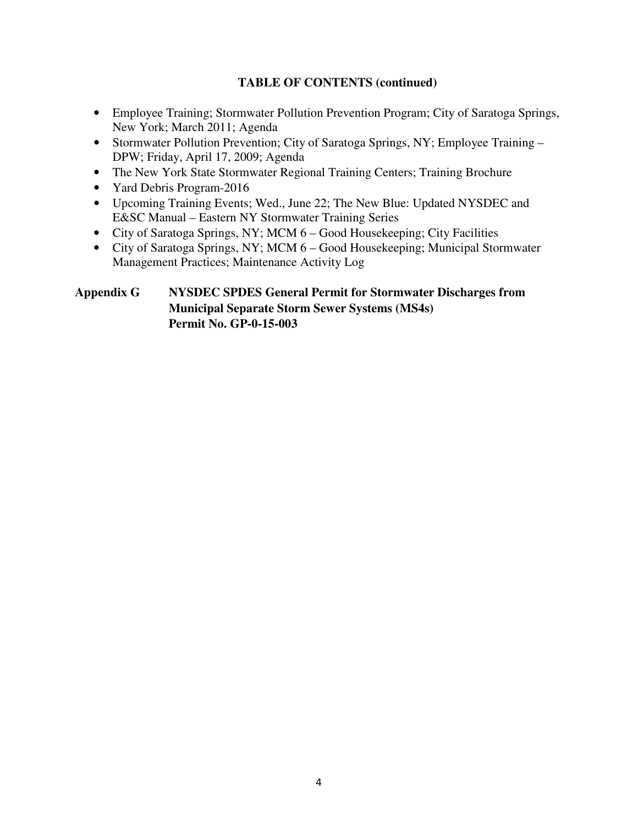#### **TABLE OF CONTENTS (continued)**

- Employee Training; Stormwater Pollution Prevention Program; City of Saratoga Springs, New York; March 2011; Agenda
- Stormwater Pollution Prevention; City of Saratoga Springs, NY; Employee Training DPW; Friday, April 17, 2009; Agenda
- The New York State Stormwater Regional Training Centers; Training Brochure
- Yard Debris Program-2016
- Upcoming Training Events; Wed., June 22; The New Blue: Updated NYSDEC and E&SC Manual – Eastern NY Stormwater Training Series
- City of Saratoga Springs, NY; MCM 6 Good Housekeeping; City Facilities
- City of Saratoga Springs, NY; MCM 6 Good Housekeeping; Municipal Stormwater Management Practices; Maintenance Activity Log

#### **Appendix G NYSDEC SPDES General Permit for Stormwater Discharges from Municipal Separate Storm Sewer Systems (MS4s) Permit No. GP-0-15-003**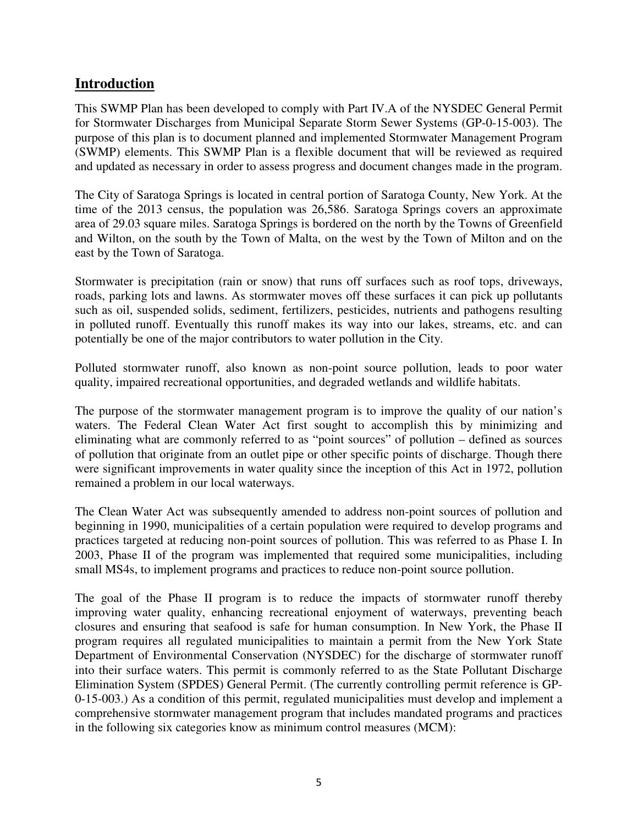#### **Introduction**

This SWMP Plan has been developed to comply with Part IV.A of the NYSDEC General Permit for Stormwater Discharges from Municipal Separate Storm Sewer Systems (GP-0-15-003). The purpose of this plan is to document planned and implemented Stormwater Management Program (SWMP) elements. This SWMP Plan is a flexible document that will be reviewed as required and updated as necessary in order to assess progress and document changes made in the program.

The City of Saratoga Springs is located in central portion of Saratoga County, New York. At the time of the 2013 census, the population was 26,586. Saratoga Springs covers an approximate area of 29.03 square miles. Saratoga Springs is bordered on the north by the Towns of Greenfield and Wilton, on the south by the Town of Malta, on the west by the Town of Milton and on the east by the Town of Saratoga.

Stormwater is precipitation (rain or snow) that runs off surfaces such as roof tops, driveways, roads, parking lots and lawns. As stormwater moves off these surfaces it can pick up pollutants such as oil, suspended solids, sediment, fertilizers, pesticides, nutrients and pathogens resulting in polluted runoff. Eventually this runoff makes its way into our lakes, streams, etc. and can potentially be one of the major contributors to water pollution in the City.

Polluted stormwater runoff, also known as non-point source pollution, leads to poor water quality, impaired recreational opportunities, and degraded wetlands and wildlife habitats.

The purpose of the stormwater management program is to improve the quality of our nation's waters. The Federal Clean Water Act first sought to accomplish this by minimizing and eliminating what are commonly referred to as "point sources" of pollution – defined as sources of pollution that originate from an outlet pipe or other specific points of discharge. Though there were significant improvements in water quality since the inception of this Act in 1972, pollution remained a problem in our local waterways.

The Clean Water Act was subsequently amended to address non-point sources of pollution and beginning in 1990, municipalities of a certain population were required to develop programs and practices targeted at reducing non-point sources of pollution. This was referred to as Phase I. In 2003, Phase II of the program was implemented that required some municipalities, including small MS4s, to implement programs and practices to reduce non-point source pollution.

The goal of the Phase II program is to reduce the impacts of stormwater runoff thereby improving water quality, enhancing recreational enjoyment of waterways, preventing beach closures and ensuring that seafood is safe for human consumption. In New York, the Phase II program requires all regulated municipalities to maintain a permit from the New York State Department of Environmental Conservation (NYSDEC) for the discharge of stormwater runoff into their surface waters. This permit is commonly referred to as the State Pollutant Discharge Elimination System (SPDES) General Permit. (The currently controlling permit reference is GP-0-15-003.) As a condition of this permit, regulated municipalities must develop and implement a comprehensive stormwater management program that includes mandated programs and practices in the following six categories know as minimum control measures (MCM):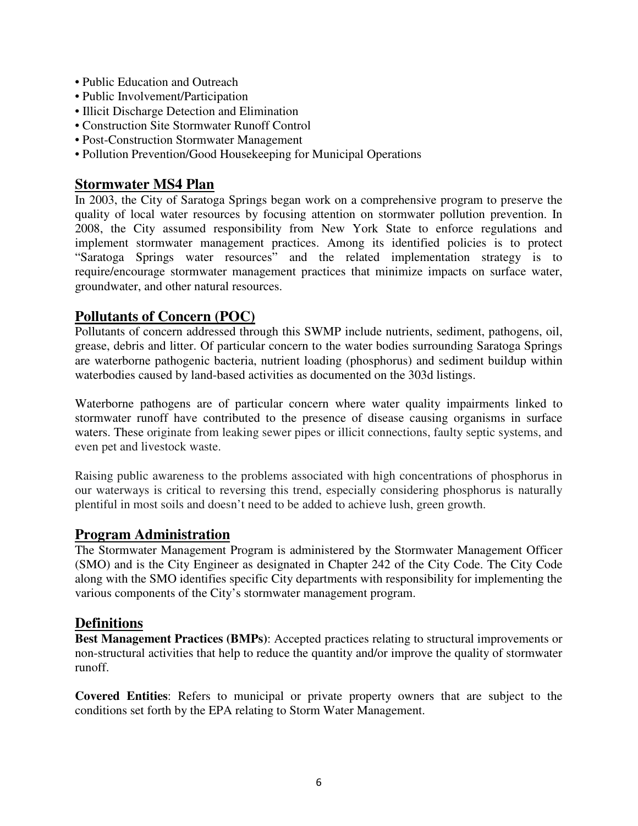- Public Education and Outreach
- Public Involvement/Participation
- Illicit Discharge Detection and Elimination
- Construction Site Stormwater Runoff Control
- Post-Construction Stormwater Management
- Pollution Prevention/Good Housekeeping for Municipal Operations

#### **Stormwater MS4 Plan**

In 2003, the City of Saratoga Springs began work on a comprehensive program to preserve the quality of local water resources by focusing attention on stormwater pollution prevention. In 2008, the City assumed responsibility from New York State to enforce regulations and implement stormwater management practices. Among its identified policies is to protect "Saratoga Springs water resources" and the related implementation strategy is to require/encourage stormwater management practices that minimize impacts on surface water, groundwater, and other natural resources.

#### **Pollutants of Concern (POC)**

Pollutants of concern addressed through this SWMP include nutrients, sediment, pathogens, oil, grease, debris and litter. Of particular concern to the water bodies surrounding Saratoga Springs are waterborne pathogenic bacteria, nutrient loading (phosphorus) and sediment buildup within waterbodies caused by land-based activities as documented on the 303d listings.

Waterborne pathogens are of particular concern where water quality impairments linked to stormwater runoff have contributed to the presence of disease causing organisms in surface waters. These originate from leaking sewer pipes or illicit connections, faulty septic systems, and even pet and livestock waste.

Raising public awareness to the problems associated with high concentrations of phosphorus in our waterways is critical to reversing this trend, especially considering phosphorus is naturally plentiful in most soils and doesn't need to be added to achieve lush, green growth.

#### **Program Administration**

The Stormwater Management Program is administered by the Stormwater Management Officer (SMO) and is the City Engineer as designated in Chapter 242 of the City Code. The City Code along with the SMO identifies specific City departments with responsibility for implementing the various components of the City's stormwater management program.

#### **Definitions**

**Best Management Practices (BMPs)**: Accepted practices relating to structural improvements or non-structural activities that help to reduce the quantity and/or improve the quality of stormwater runoff.

**Covered Entities**: Refers to municipal or private property owners that are subject to the conditions set forth by the EPA relating to Storm Water Management.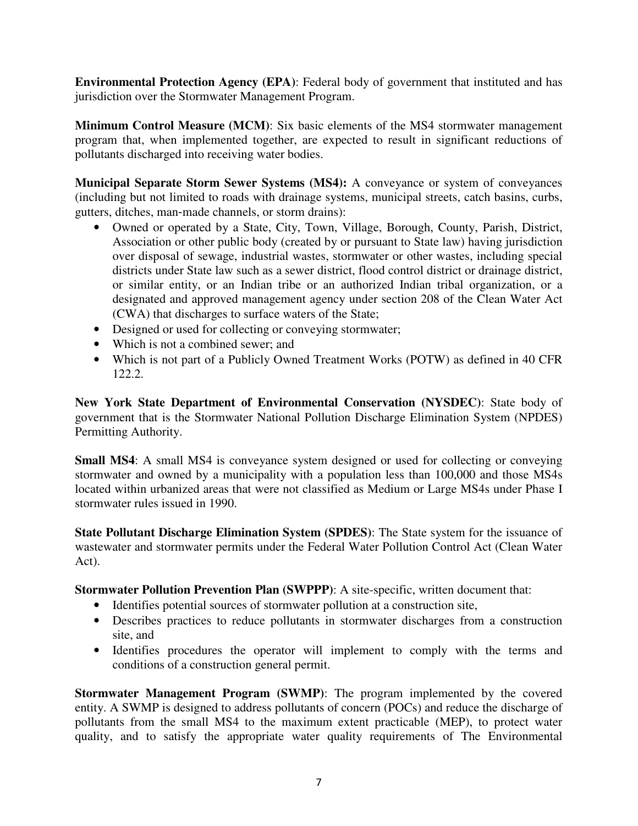**Environmental Protection Agency (EPA)**: Federal body of government that instituted and has jurisdiction over the Stormwater Management Program.

**Minimum Control Measure (MCM)**: Six basic elements of the MS4 stormwater management program that, when implemented together, are expected to result in significant reductions of pollutants discharged into receiving water bodies.

**Municipal Separate Storm Sewer Systems (MS4):** A conveyance or system of conveyances (including but not limited to roads with drainage systems, municipal streets, catch basins, curbs, gutters, ditches, man‐made channels, or storm drains):

- Owned or operated by a State, City, Town, Village, Borough, County, Parish, District, Association or other public body (created by or pursuant to State law) having jurisdiction over disposal of sewage, industrial wastes, stormwater or other wastes, including special districts under State law such as a sewer district, flood control district or drainage district, or similar entity, or an Indian tribe or an authorized Indian tribal organization, or a designated and approved management agency under section 208 of the Clean Water Act (CWA) that discharges to surface waters of the State;
- Designed or used for collecting or conveying stormwater;
- Which is not a combined sewer; and
- Which is not part of a Publicly Owned Treatment Works (POTW) as defined in 40 CFR 122.2.

**New York State Department of Environmental Conservation (NYSDEC)**: State body of government that is the Stormwater National Pollution Discharge Elimination System (NPDES) Permitting Authority.

**Small MS4:** A small MS4 is conveyance system designed or used for collecting or conveying stormwater and owned by a municipality with a population less than 100,000 and those MS4s located within urbanized areas that were not classified as Medium or Large MS4s under Phase I stormwater rules issued in 1990.

**State Pollutant Discharge Elimination System (SPDES)**: The State system for the issuance of wastewater and stormwater permits under the Federal Water Pollution Control Act (Clean Water Act).

**Stormwater Pollution Prevention Plan (SWPPP)**: A site-specific, written document that:

- Identifies potential sources of stormwater pollution at a construction site,
- Describes practices to reduce pollutants in stormwater discharges from a construction site, and
- Identifies procedures the operator will implement to comply with the terms and conditions of a construction general permit.

**Stormwater Management Program (SWMP)**: The program implemented by the covered entity. A SWMP is designed to address pollutants of concern (POCs) and reduce the discharge of pollutants from the small MS4 to the maximum extent practicable (MEP), to protect water quality, and to satisfy the appropriate water quality requirements of The Environmental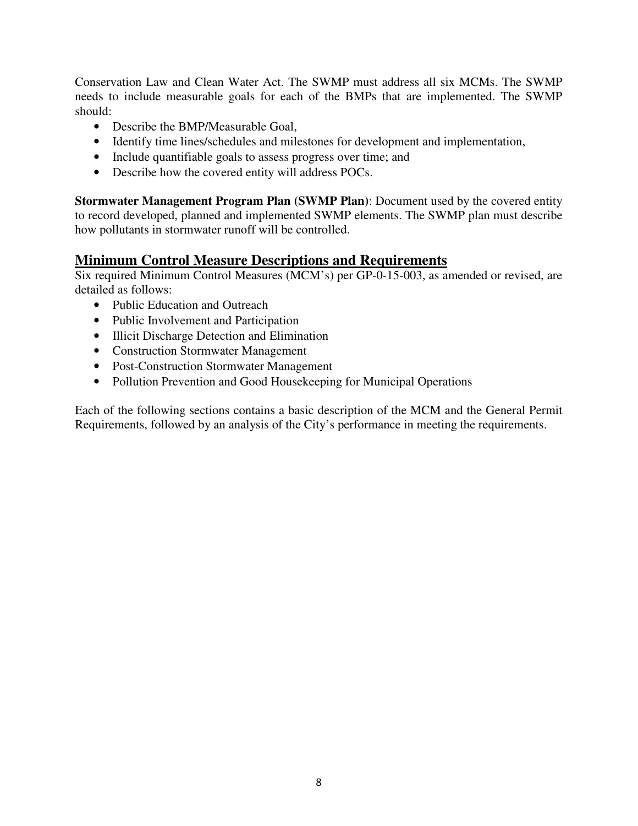Conservation Law and Clean Water Act. The SWMP must address all six MCMs. The SWMP needs to include measurable goals for each of the BMPs that are implemented. The SWMP should:

- Describe the BMP/Measurable Goal,
- Identify time lines/schedules and milestones for development and implementation,
- Include quantifiable goals to assess progress over time; and
- Describe how the covered entity will address POCs.

**Stormwater Management Program Plan (SWMP Plan)**: Document used by the covered entity to record developed, planned and implemented SWMP elements. The SWMP plan must describe how pollutants in stormwater runoff will be controlled.

#### **Minimum Control Measure Descriptions and Requirements**

Six required Minimum Control Measures (MCM's) per GP-0-15-003, as amended or revised, are detailed as follows:

- Public Education and Outreach
- Public Involvement and Participation
- Illicit Discharge Detection and Elimination
- Construction Stormwater Management
- Post-Construction Stormwater Management
- Pollution Prevention and Good Housekeeping for Municipal Operations

Each of the following sections contains a basic description of the MCM and the General Permit Requirements, followed by an analysis of the City's performance in meeting the requirements.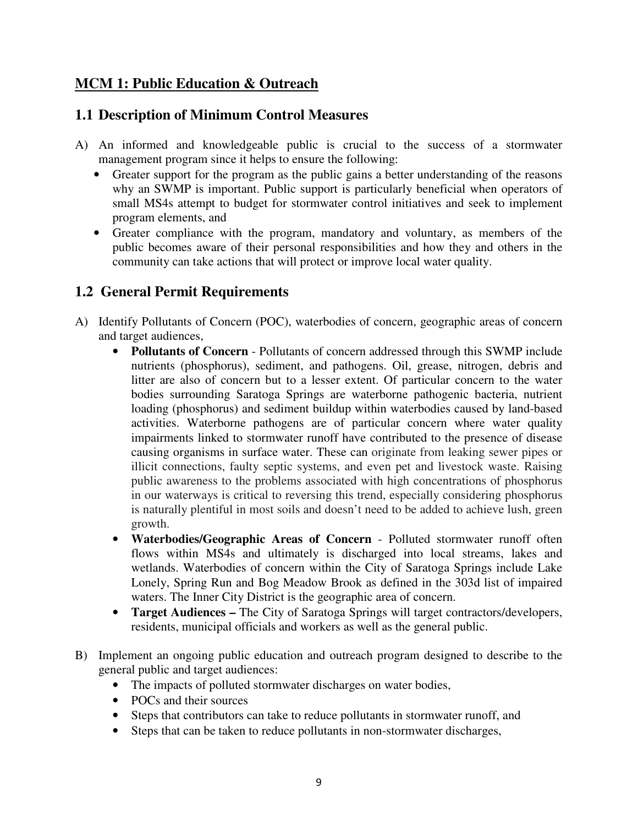### **MCM 1: Public Education & Outreach**

#### **1.1 Description of Minimum Control Measures**

- A) An informed and knowledgeable public is crucial to the success of a stormwater management program since it helps to ensure the following:
	- Greater support for the program as the public gains a better understanding of the reasons why an SWMP is important. Public support is particularly beneficial when operators of small MS4s attempt to budget for stormwater control initiatives and seek to implement program elements, and
	- Greater compliance with the program, mandatory and voluntary, as members of the public becomes aware of their personal responsibilities and how they and others in the community can take actions that will protect or improve local water quality.

## **1.2 General Permit Requirements**

- A) Identify Pollutants of Concern (POC), waterbodies of concern, geographic areas of concern and target audiences,
	- **Pollutants of Concern** Pollutants of concern addressed through this SWMP include nutrients (phosphorus), sediment, and pathogens. Oil, grease, nitrogen, debris and litter are also of concern but to a lesser extent. Of particular concern to the water bodies surrounding Saratoga Springs are waterborne pathogenic bacteria, nutrient loading (phosphorus) and sediment buildup within waterbodies caused by land-based activities. Waterborne pathogens are of particular concern where water quality impairments linked to stormwater runoff have contributed to the presence of disease causing organisms in surface water. These can originate from leaking sewer pipes or illicit connections, faulty septic systems, and even pet and livestock waste. Raising public awareness to the problems associated with high concentrations of phosphorus in our waterways is critical to reversing this trend, especially considering phosphorus is naturally plentiful in most soils and doesn't need to be added to achieve lush, green growth.
	- **Waterbodies/Geographic Areas of Concern** Polluted stormwater runoff often flows within MS4s and ultimately is discharged into local streams, lakes and wetlands. Waterbodies of concern within the City of Saratoga Springs include Lake Lonely, Spring Run and Bog Meadow Brook as defined in the 303d list of impaired waters. The Inner City District is the geographic area of concern.
	- **Target Audiences –** The City of Saratoga Springs will target contractors/developers, residents, municipal officials and workers as well as the general public.
- B) Implement an ongoing public education and outreach program designed to describe to the general public and target audiences:
	- The impacts of polluted stormwater discharges on water bodies,
	- POCs and their sources
	- Steps that contributors can take to reduce pollutants in stormwater runoff, and
	- Steps that can be taken to reduce pollutants in non-stormwater discharges,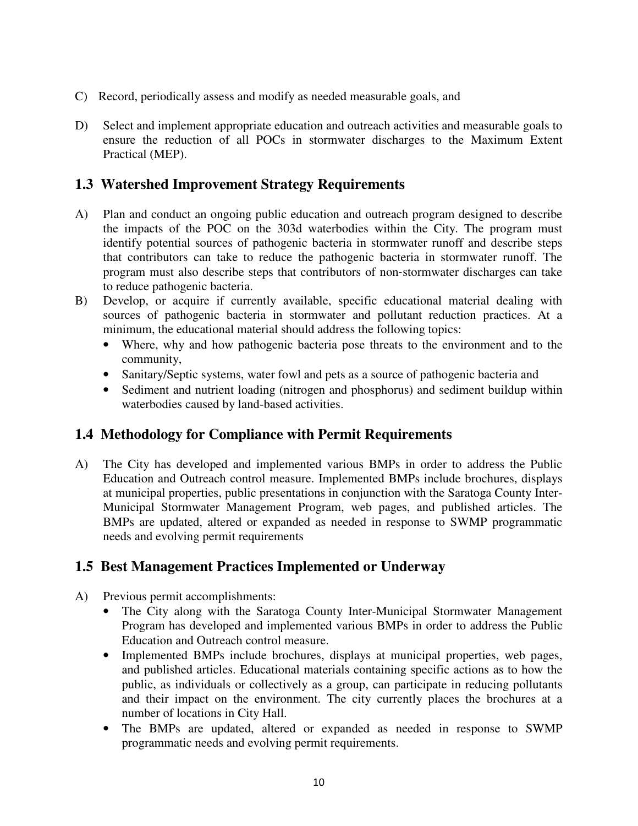- C) Record, periodically assess and modify as needed measurable goals, and
- D) Select and implement appropriate education and outreach activities and measurable goals to ensure the reduction of all POCs in stormwater discharges to the Maximum Extent Practical (MEP).

#### **1.3 Watershed Improvement Strategy Requirements**

- A) Plan and conduct an ongoing public education and outreach program designed to describe the impacts of the POC on the 303d waterbodies within the City. The program must identify potential sources of pathogenic bacteria in stormwater runoff and describe steps that contributors can take to reduce the pathogenic bacteria in stormwater runoff. The program must also describe steps that contributors of non‐stormwater discharges can take to reduce pathogenic bacteria.
- B) Develop, or acquire if currently available, specific educational material dealing with sources of pathogenic bacteria in stormwater and pollutant reduction practices. At a minimum, the educational material should address the following topics:
	- Where, why and how pathogenic bacteria pose threats to the environment and to the community,
	- Sanitary/Septic systems, water fowl and pets as a source of pathogenic bacteria and
	- Sediment and nutrient loading (nitrogen and phosphorus) and sediment buildup within waterbodies caused by land-based activities.

### **1.4 Methodology for Compliance with Permit Requirements**

A) The City has developed and implemented various BMPs in order to address the Public Education and Outreach control measure. Implemented BMPs include brochures, displays at municipal properties, public presentations in conjunction with the Saratoga County Inter-Municipal Stormwater Management Program, web pages, and published articles. The BMPs are updated, altered or expanded as needed in response to SWMP programmatic needs and evolving permit requirements

#### **1.5 Best Management Practices Implemented or Underway**

- A) Previous permit accomplishments:
	- The City along with the Saratoga County Inter-Municipal Stormwater Management Program has developed and implemented various BMPs in order to address the Public Education and Outreach control measure.
	- Implemented BMPs include brochures, displays at municipal properties, web pages, and published articles. Educational materials containing specific actions as to how the public, as individuals or collectively as a group, can participate in reducing pollutants and their impact on the environment. The city currently places the brochures at a number of locations in City Hall.
	- The BMPs are updated, altered or expanded as needed in response to SWMP programmatic needs and evolving permit requirements.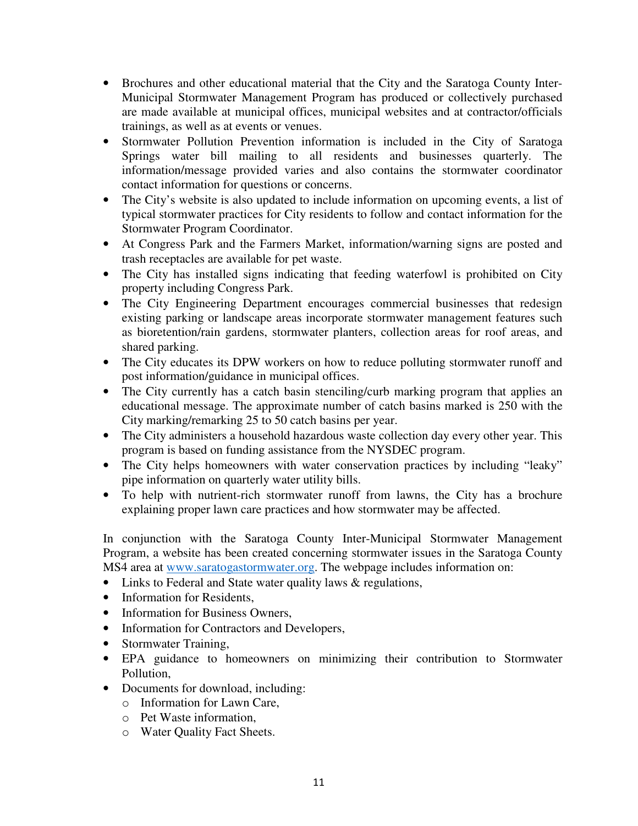- Brochures and other educational material that the City and the Saratoga County Inter-Municipal Stormwater Management Program has produced or collectively purchased are made available at municipal offices, municipal websites and at contractor/officials trainings, as well as at events or venues.
- Stormwater Pollution Prevention information is included in the City of Saratoga Springs water bill mailing to all residents and businesses quarterly. The information/message provided varies and also contains the stormwater coordinator contact information for questions or concerns.
- The City's website is also updated to include information on upcoming events, a list of typical stormwater practices for City residents to follow and contact information for the Stormwater Program Coordinator.
- At Congress Park and the Farmers Market, information/warning signs are posted and trash receptacles are available for pet waste.
- The City has installed signs indicating that feeding waterfowl is prohibited on City property including Congress Park.
- The City Engineering Department encourages commercial businesses that redesign existing parking or landscape areas incorporate stormwater management features such as bioretention/rain gardens, stormwater planters, collection areas for roof areas, and shared parking.
- The City educates its DPW workers on how to reduce polluting stormwater runoff and post information/guidance in municipal offices.
- The City currently has a catch basin stenciling/curb marking program that applies an educational message. The approximate number of catch basins marked is 250 with the City marking/remarking 25 to 50 catch basins per year.
- The City administers a household hazardous waste collection day every other year. This program is based on funding assistance from the NYSDEC program.
- The City helps homeowners with water conservation practices by including "leaky" pipe information on quarterly water utility bills.
- To help with nutrient-rich stormwater runoff from lawns, the City has a brochure explaining proper lawn care practices and how stormwater may be affected.

In conjunction with the Saratoga County Inter-Municipal Stormwater Management Program, a website has been created concerning stormwater issues in the Saratoga County MS4 area at www.saratogastormwater.org. The webpage includes information on:

- Links to Federal and State water quality laws & regulations,
- Information for Residents,
- Information for Business Owners,
- Information for Contractors and Developers,
- Stormwater Training,
- EPA guidance to homeowners on minimizing their contribution to Stormwater Pollution,
- Documents for download, including:
	- o Information for Lawn Care,
	- o Pet Waste information,
	- o Water Quality Fact Sheets.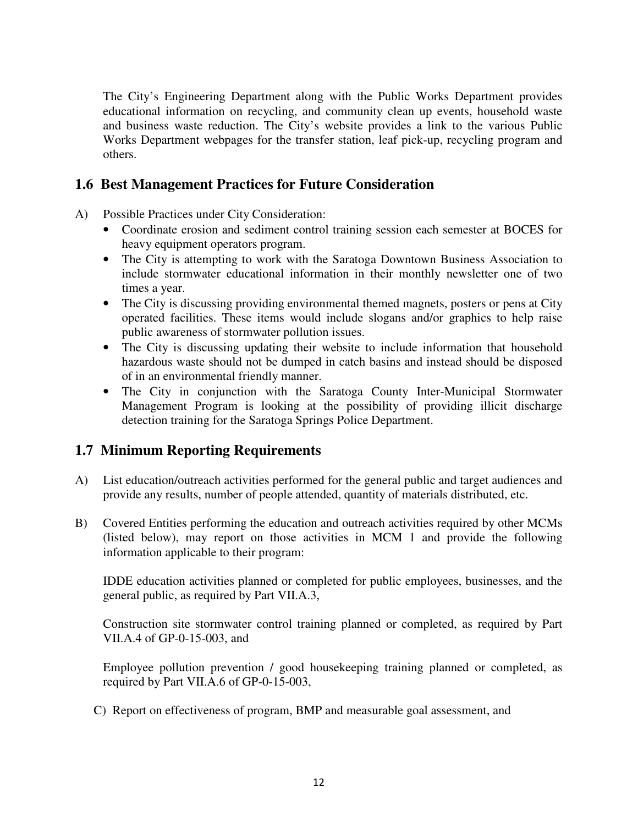The City's Engineering Department along with the Public Works Department provides educational information on recycling, and community clean up events, household waste and business waste reduction. The City's website provides a link to the various Public Works Department webpages for the transfer station, leaf pick-up, recycling program and others.

#### **1.6 Best Management Practices for Future Consideration**

- A) Possible Practices under City Consideration:
	- Coordinate erosion and sediment control training session each semester at BOCES for heavy equipment operators program.
	- The City is attempting to work with the Saratoga Downtown Business Association to include stormwater educational information in their monthly newsletter one of two times a year.
	- The City is discussing providing environmental themed magnets, posters or pens at City operated facilities. These items would include slogans and/or graphics to help raise public awareness of stormwater pollution issues.
	- The City is discussing updating their website to include information that household hazardous waste should not be dumped in catch basins and instead should be disposed of in an environmental friendly manner.
	- The City in conjunction with the Saratoga County Inter-Municipal Stormwater Management Program is looking at the possibility of providing illicit discharge detection training for the Saratoga Springs Police Department.

### **1.7 Minimum Reporting Requirements**

- A) List education/outreach activities performed for the general public and target audiences and provide any results, number of people attended, quantity of materials distributed, etc.
- B) Covered Entities performing the education and outreach activities required by other MCMs (listed below), may report on those activities in MCM 1 and provide the following information applicable to their program:

IDDE education activities planned or completed for public employees, businesses, and the general public, as required by Part VII.A.3,

Construction site stormwater control training planned or completed, as required by Part VII.A.4 of GP-0-15-003, and

Employee pollution prevention / good housekeeping training planned or completed, as required by Part VII.A.6 of GP-0-15-003,

C) Report on effectiveness of program, BMP and measurable goal assessment, and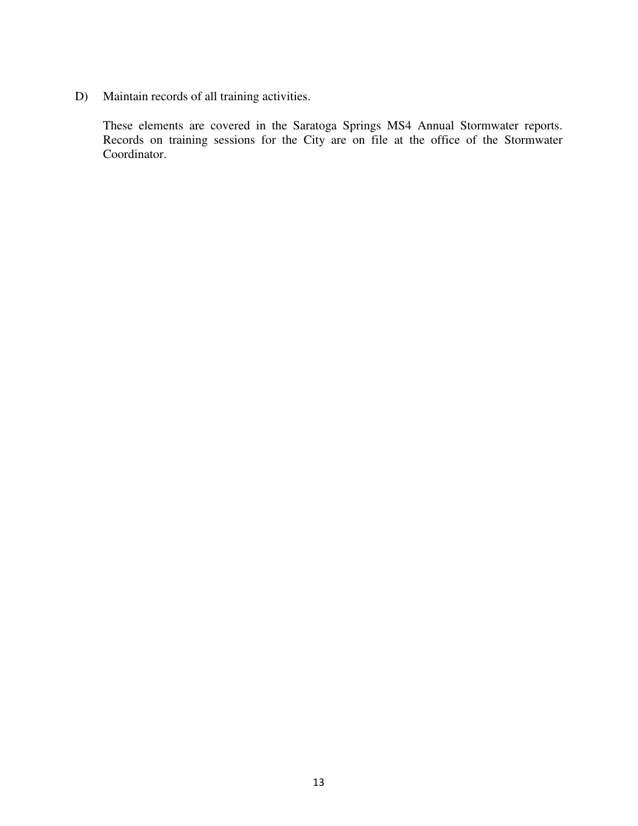D) Maintain records of all training activities.

These elements are covered in the Saratoga Springs MS4 Annual Stormwater reports. Records on training sessions for the City are on file at the office of the Stormwater Coordinator.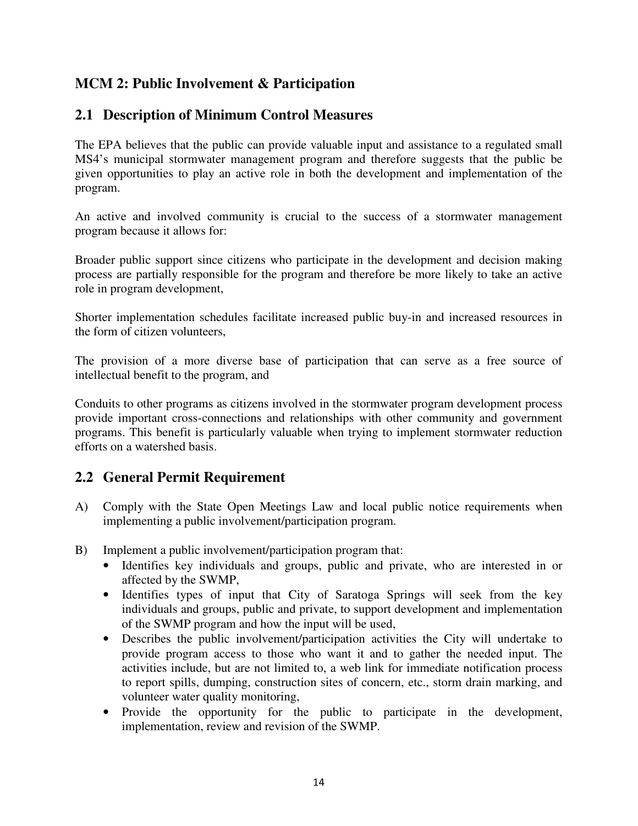## **MCM 2: Public Involvement & Participation**

### **2.1 Description of Minimum Control Measures**

The EPA believes that the public can provide valuable input and assistance to a regulated small MS4's municipal stormwater management program and therefore suggests that the public be given opportunities to play an active role in both the development and implementation of the program.

An active and involved community is crucial to the success of a stormwater management program because it allows for:

Broader public support since citizens who participate in the development and decision making process are partially responsible for the program and therefore be more likely to take an active role in program development,

Shorter implementation schedules facilitate increased public buy-in and increased resources in the form of citizen volunteers,

The provision of a more diverse base of participation that can serve as a free source of intellectual benefit to the program, and

Conduits to other programs as citizens involved in the stormwater program development process provide important cross-connections and relationships with other community and government programs. This benefit is particularly valuable when trying to implement stormwater reduction efforts on a watershed basis.

### **2.2 General Permit Requirement**

- A) Comply with the State Open Meetings Law and local public notice requirements when implementing a public involvement/participation program.
- B) Implement a public involvement/participation program that:
	- Identifies key individuals and groups, public and private, who are interested in or affected by the SWMP,
	- Identifies types of input that City of Saratoga Springs will seek from the key individuals and groups, public and private, to support development and implementation of the SWMP program and how the input will be used,
	- Describes the public involvement/participation activities the City will undertake to provide program access to those who want it and to gather the needed input. The activities include, but are not limited to, a web link for immediate notification process to report spills, dumping, construction sites of concern, etc., storm drain marking, and volunteer water quality monitoring,
	- Provide the opportunity for the public to participate in the development, implementation, review and revision of the SWMP.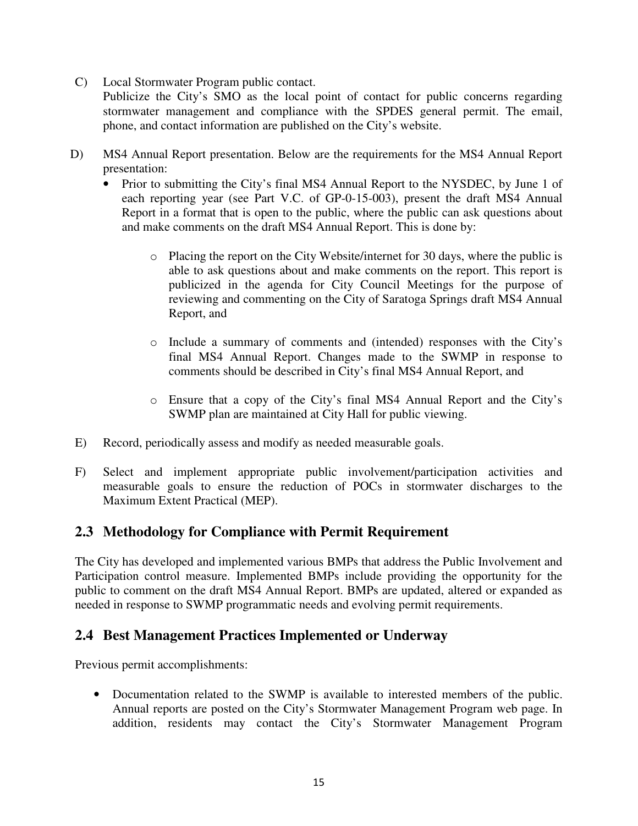C) Local Stormwater Program public contact.

Publicize the City's SMO as the local point of contact for public concerns regarding stormwater management and compliance with the SPDES general permit. The email, phone, and contact information are published on the City's website.

- D) MS4 Annual Report presentation. Below are the requirements for the MS4 Annual Report presentation:
	- Prior to submitting the City's final MS4 Annual Report to the NYSDEC, by June 1 of each reporting year (see Part V.C. of GP-0-15-003), present the draft MS4 Annual Report in a format that is open to the public, where the public can ask questions about and make comments on the draft MS4 Annual Report. This is done by:
		- o Placing the report on the City Website/internet for 30 days, where the public is able to ask questions about and make comments on the report. This report is publicized in the agenda for City Council Meetings for the purpose of reviewing and commenting on the City of Saratoga Springs draft MS4 Annual Report, and
		- o Include a summary of comments and (intended) responses with the City's final MS4 Annual Report. Changes made to the SWMP in response to comments should be described in City's final MS4 Annual Report, and
		- o Ensure that a copy of the City's final MS4 Annual Report and the City's SWMP plan are maintained at City Hall for public viewing.
- E) Record, periodically assess and modify as needed measurable goals.
- F) Select and implement appropriate public involvement/participation activities and measurable goals to ensure the reduction of POCs in stormwater discharges to the Maximum Extent Practical (MEP).

#### **2.3 Methodology for Compliance with Permit Requirement**

The City has developed and implemented various BMPs that address the Public Involvement and Participation control measure. Implemented BMPs include providing the opportunity for the public to comment on the draft MS4 Annual Report. BMPs are updated, altered or expanded as needed in response to SWMP programmatic needs and evolving permit requirements.

#### **2.4 Best Management Practices Implemented or Underway**

Previous permit accomplishments:

• Documentation related to the SWMP is available to interested members of the public. Annual reports are posted on the City's Stormwater Management Program web page. In addition, residents may contact the City's Stormwater Management Program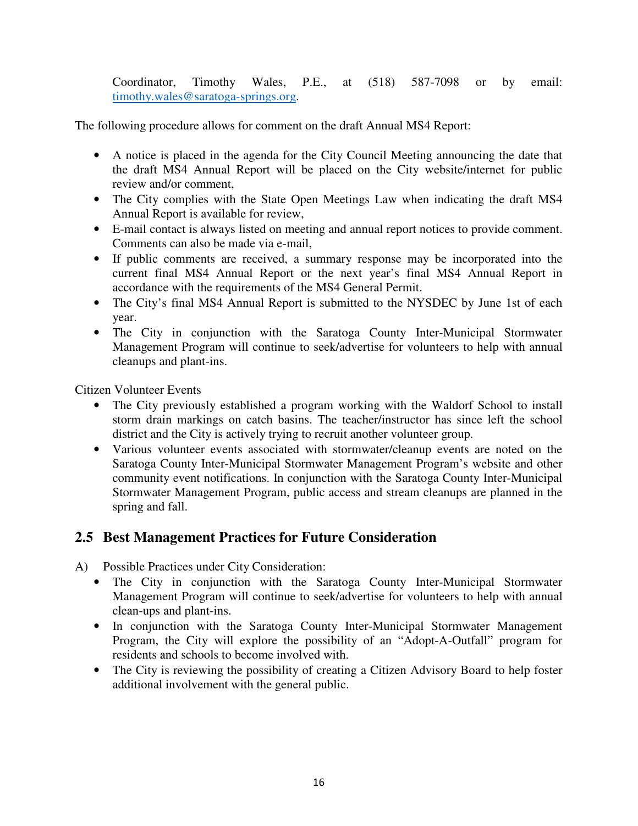Coordinator, Timothy Wales, P.E., at (518) 587-7098 or by email: timothy.wales@saratoga-springs.org.

The following procedure allows for comment on the draft Annual MS4 Report:

- A notice is placed in the agenda for the City Council Meeting announcing the date that the draft MS4 Annual Report will be placed on the City website/internet for public review and/or comment,
- The City complies with the State Open Meetings Law when indicating the draft MS4 Annual Report is available for review,
- E-mail contact is always listed on meeting and annual report notices to provide comment. Comments can also be made via e-mail,
- If public comments are received, a summary response may be incorporated into the current final MS4 Annual Report or the next year's final MS4 Annual Report in accordance with the requirements of the MS4 General Permit.
- The City's final MS4 Annual Report is submitted to the NYSDEC by June 1st of each year.
- The City in conjunction with the Saratoga County Inter-Municipal Stormwater Management Program will continue to seek/advertise for volunteers to help with annual cleanups and plant-ins.

Citizen Volunteer Events

- The City previously established a program working with the Waldorf School to install storm drain markings on catch basins. The teacher/instructor has since left the school district and the City is actively trying to recruit another volunteer group.
- Various volunteer events associated with stormwater/cleanup events are noted on the Saratoga County Inter-Municipal Stormwater Management Program's website and other community event notifications. In conjunction with the Saratoga County Inter-Municipal Stormwater Management Program, public access and stream cleanups are planned in the spring and fall.

### **2.5 Best Management Practices for Future Consideration**

- A) Possible Practices under City Consideration:
	- The City in conjunction with the Saratoga County Inter-Municipal Stormwater Management Program will continue to seek/advertise for volunteers to help with annual clean-ups and plant-ins.
	- In conjunction with the Saratoga County Inter-Municipal Stormwater Management Program, the City will explore the possibility of an "Adopt-A-Outfall" program for residents and schools to become involved with.
	- The City is reviewing the possibility of creating a Citizen Advisory Board to help foster additional involvement with the general public.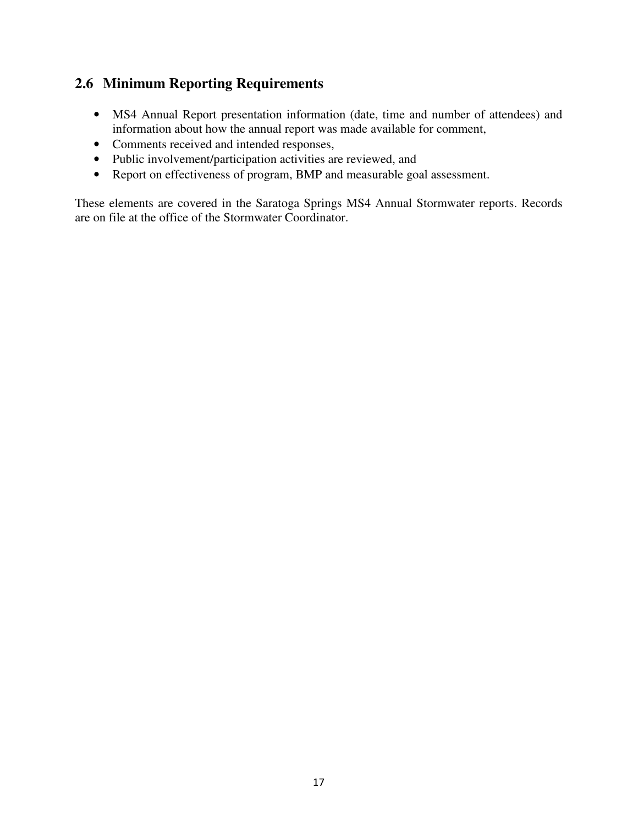### **2.6 Minimum Reporting Requirements**

- MS4 Annual Report presentation information (date, time and number of attendees) and information about how the annual report was made available for comment,
- Comments received and intended responses,
- Public involvement/participation activities are reviewed, and
- Report on effectiveness of program, BMP and measurable goal assessment.

These elements are covered in the Saratoga Springs MS4 Annual Stormwater reports. Records are on file at the office of the Stormwater Coordinator.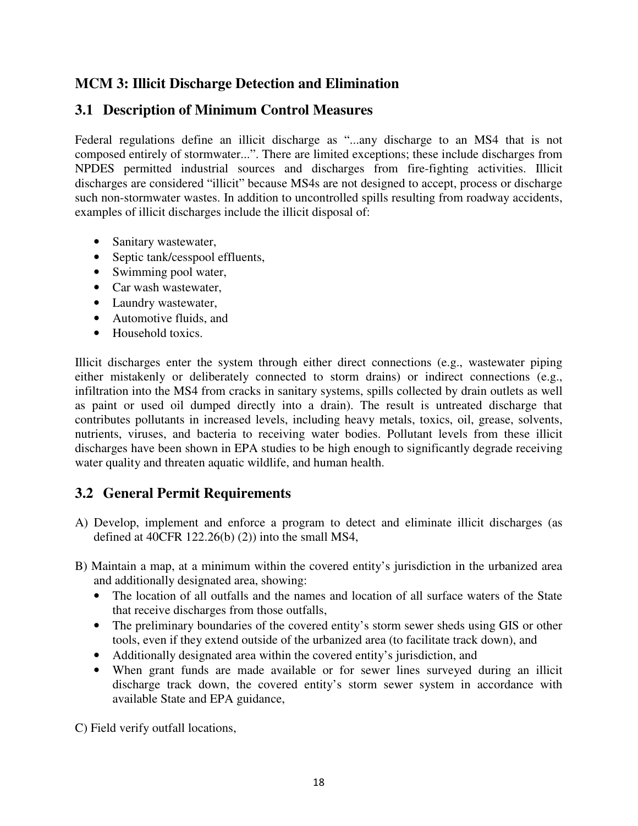## **MCM 3: Illicit Discharge Detection and Elimination**

## **3.1 Description of Minimum Control Measures**

Federal regulations define an illicit discharge as "...any discharge to an MS4 that is not composed entirely of stormwater...". There are limited exceptions; these include discharges from NPDES permitted industrial sources and discharges from fire-fighting activities. Illicit discharges are considered "illicit" because MS4s are not designed to accept, process or discharge such non-stormwater wastes. In addition to uncontrolled spills resulting from roadway accidents, examples of illicit discharges include the illicit disposal of:

- Sanitary wastewater,
- Septic tank/cesspool effluents,
- Swimming pool water,
- Car wash wastewater,
- Laundry wastewater,
- Automotive fluids, and
- Household toxics.

Illicit discharges enter the system through either direct connections (e.g., wastewater piping either mistakenly or deliberately connected to storm drains) or indirect connections (e.g., infiltration into the MS4 from cracks in sanitary systems, spills collected by drain outlets as well as paint or used oil dumped directly into a drain). The result is untreated discharge that contributes pollutants in increased levels, including heavy metals, toxics, oil, grease, solvents, nutrients, viruses, and bacteria to receiving water bodies. Pollutant levels from these illicit discharges have been shown in EPA studies to be high enough to significantly degrade receiving water quality and threaten aquatic wildlife, and human health.

### **3.2 General Permit Requirements**

- A) Develop, implement and enforce a program to detect and eliminate illicit discharges (as defined at 40CFR 122.26(b)  $(2)$ ) into the small MS4,
- B) Maintain a map, at a minimum within the covered entity's jurisdiction in the urbanized area and additionally designated area, showing:
	- The location of all outfalls and the names and location of all surface waters of the State that receive discharges from those outfalls,
	- The preliminary boundaries of the covered entity's storm sewer sheds using GIS or other tools, even if they extend outside of the urbanized area (to facilitate track down), and
	- Additionally designated area within the covered entity's jurisdiction, and
	- When grant funds are made available or for sewer lines surveyed during an illicit discharge track down, the covered entity's storm sewer system in accordance with available State and EPA guidance,

C) Field verify outfall locations,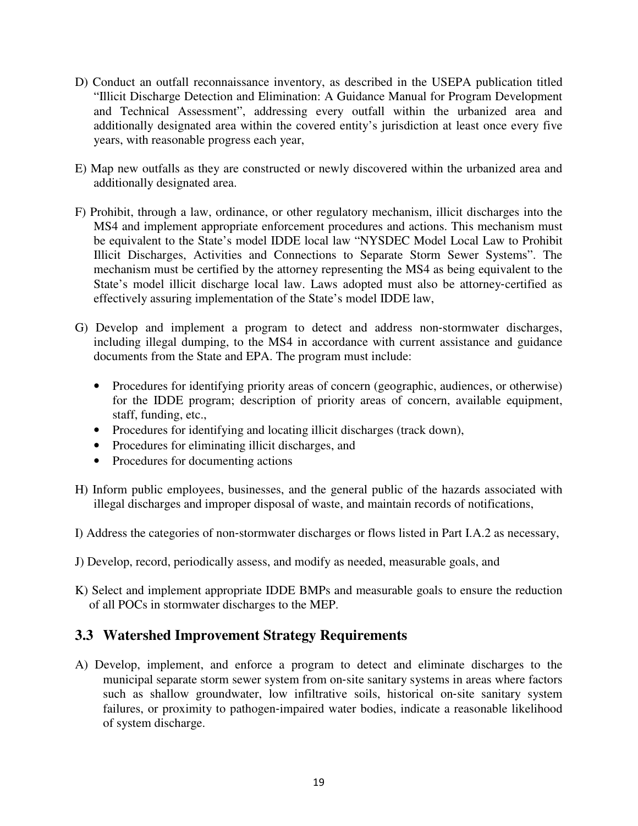- D) Conduct an outfall reconnaissance inventory, as described in the USEPA publication titled "Illicit Discharge Detection and Elimination: A Guidance Manual for Program Development and Technical Assessment", addressing every outfall within the urbanized area and additionally designated area within the covered entity's jurisdiction at least once every five years, with reasonable progress each year,
- E) Map new outfalls as they are constructed or newly discovered within the urbanized area and additionally designated area.
- F) Prohibit, through a law, ordinance, or other regulatory mechanism, illicit discharges into the MS4 and implement appropriate enforcement procedures and actions. This mechanism must be equivalent to the State's model IDDE local law "NYSDEC Model Local Law to Prohibit Illicit Discharges, Activities and Connections to Separate Storm Sewer Systems". The mechanism must be certified by the attorney representing the MS4 as being equivalent to the State's model illicit discharge local law. Laws adopted must also be attorney-certified as effectively assuring implementation of the State's model IDDE law,
- G) Develop and implement a program to detect and address non-stormwater discharges, including illegal dumping, to the MS4 in accordance with current assistance and guidance documents from the State and EPA. The program must include:
	- Procedures for identifying priority areas of concern (geographic, audiences, or otherwise) for the IDDE program; description of priority areas of concern, available equipment, staff, funding, etc.,
	- Procedures for identifying and locating illicit discharges (track down),
	- Procedures for eliminating illicit discharges, and
	- Procedures for documenting actions
- H) Inform public employees, businesses, and the general public of the hazards associated with illegal discharges and improper disposal of waste, and maintain records of notifications,
- I) Address the categories of non‐stormwater discharges or flows listed in Part I.A.2 as necessary,
- J) Develop, record, periodically assess, and modify as needed, measurable goals, and
- K) Select and implement appropriate IDDE BMPs and measurable goals to ensure the reduction of all POCs in stormwater discharges to the MEP.

### **3.3 Watershed Improvement Strategy Requirements**

A) Develop, implement, and enforce a program to detect and eliminate discharges to the municipal separate storm sewer system from on‐site sanitary systems in areas where factors such as shallow groundwater, low infiltrative soils, historical on-site sanitary system failures, or proximity to pathogen‐impaired water bodies, indicate a reasonable likelihood of system discharge.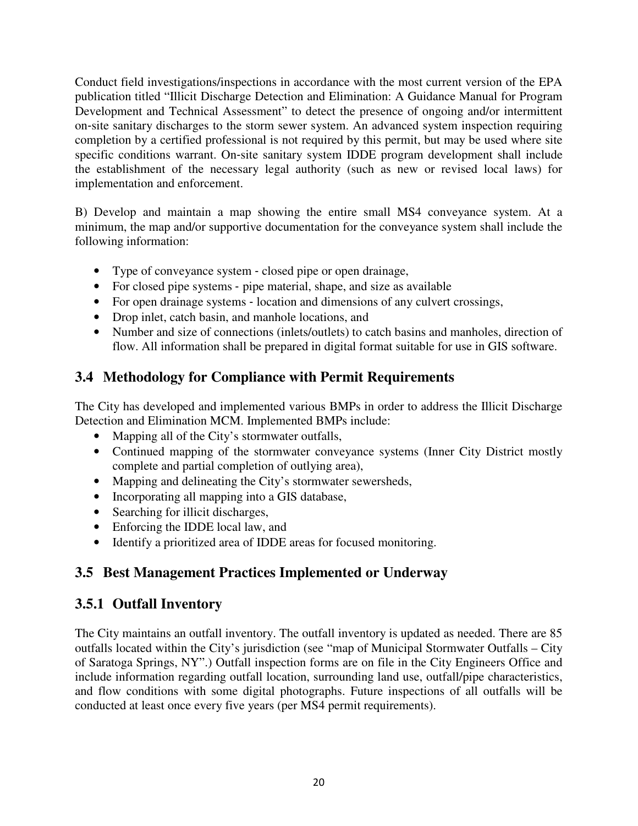Conduct field investigations/inspections in accordance with the most current version of the EPA publication titled "Illicit Discharge Detection and Elimination: A Guidance Manual for Program Development and Technical Assessment" to detect the presence of ongoing and/or intermittent on‐site sanitary discharges to the storm sewer system. An advanced system inspection requiring completion by a certified professional is not required by this permit, but may be used where site specific conditions warrant. On-site sanitary system IDDE program development shall include the establishment of the necessary legal authority (such as new or revised local laws) for implementation and enforcement.

B) Develop and maintain a map showing the entire small MS4 conveyance system. At a minimum, the map and/or supportive documentation for the conveyance system shall include the following information:

- Type of conveyance system closed pipe or open drainage,
- For closed pipe systems pipe material, shape, and size as available
- For open drainage systems location and dimensions of any culvert crossings,
- Drop inlet, catch basin, and manhole locations, and
- Number and size of connections (inlets/outlets) to catch basins and manholes, direction of flow. All information shall be prepared in digital format suitable for use in GIS software.

## **3.4 Methodology for Compliance with Permit Requirements**

The City has developed and implemented various BMPs in order to address the Illicit Discharge Detection and Elimination MCM. Implemented BMPs include:

- Mapping all of the City's stormwater outfalls,
- Continued mapping of the stormwater conveyance systems (Inner City District mostly complete and partial completion of outlying area),
- Mapping and delineating the City's stormwater sewersheds,
- Incorporating all mapping into a GIS database,
- Searching for illicit discharges,
- Enforcing the IDDE local law, and
- Identify a prioritized area of IDDE areas for focused monitoring.

## **3.5 Best Management Practices Implemented or Underway**

### **3.5.1 Outfall Inventory**

The City maintains an outfall inventory. The outfall inventory is updated as needed. There are 85 outfalls located within the City's jurisdiction (see "map of Municipal Stormwater Outfalls – City of Saratoga Springs, NY".) Outfall inspection forms are on file in the City Engineers Office and include information regarding outfall location, surrounding land use, outfall/pipe characteristics, and flow conditions with some digital photographs. Future inspections of all outfalls will be conducted at least once every five years (per MS4 permit requirements).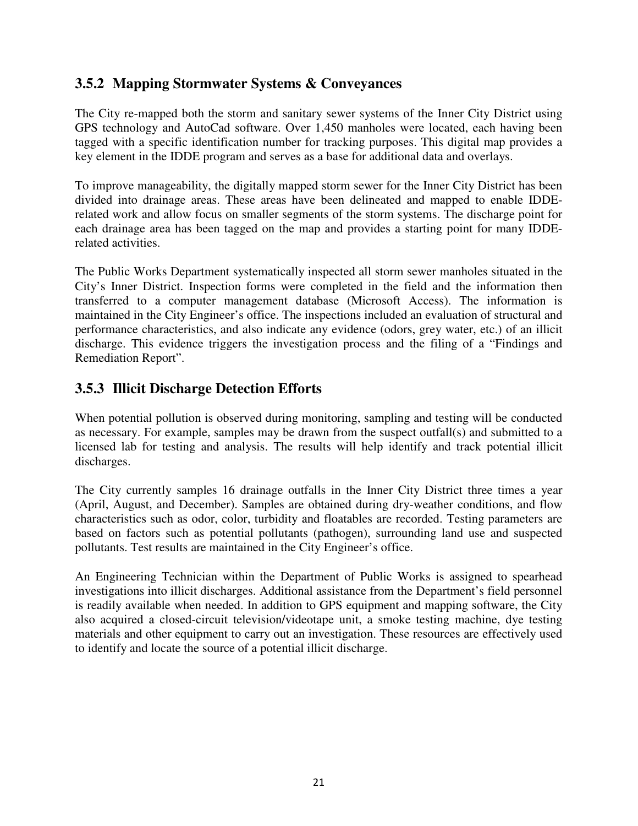### **3.5.2 Mapping Stormwater Systems & Conveyances**

The City re-mapped both the storm and sanitary sewer systems of the Inner City District using GPS technology and AutoCad software. Over 1,450 manholes were located, each having been tagged with a specific identification number for tracking purposes. This digital map provides a key element in the IDDE program and serves as a base for additional data and overlays.

To improve manageability, the digitally mapped storm sewer for the Inner City District has been divided into drainage areas. These areas have been delineated and mapped to enable IDDErelated work and allow focus on smaller segments of the storm systems. The discharge point for each drainage area has been tagged on the map and provides a starting point for many IDDErelated activities.

The Public Works Department systematically inspected all storm sewer manholes situated in the City's Inner District. Inspection forms were completed in the field and the information then transferred to a computer management database (Microsoft Access). The information is maintained in the City Engineer's office. The inspections included an evaluation of structural and performance characteristics, and also indicate any evidence (odors, grey water, etc.) of an illicit discharge. This evidence triggers the investigation process and the filing of a "Findings and Remediation Report".

## **3.5.3 Illicit Discharge Detection Efforts**

When potential pollution is observed during monitoring, sampling and testing will be conducted as necessary. For example, samples may be drawn from the suspect outfall(s) and submitted to a licensed lab for testing and analysis. The results will help identify and track potential illicit discharges.

The City currently samples 16 drainage outfalls in the Inner City District three times a year (April, August, and December). Samples are obtained during dry-weather conditions, and flow characteristics such as odor, color, turbidity and floatables are recorded. Testing parameters are based on factors such as potential pollutants (pathogen), surrounding land use and suspected pollutants. Test results are maintained in the City Engineer's office.

An Engineering Technician within the Department of Public Works is assigned to spearhead investigations into illicit discharges. Additional assistance from the Department's field personnel is readily available when needed. In addition to GPS equipment and mapping software, the City also acquired a closed-circuit television/videotape unit, a smoke testing machine, dye testing materials and other equipment to carry out an investigation. These resources are effectively used to identify and locate the source of a potential illicit discharge.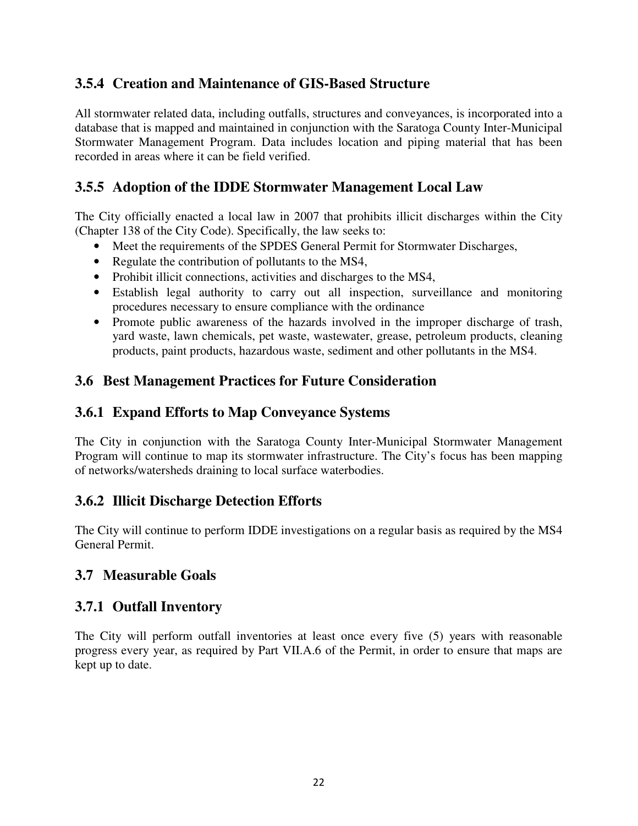### **3.5.4 Creation and Maintenance of GIS-Based Structure**

All stormwater related data, including outfalls, structures and conveyances, is incorporated into a database that is mapped and maintained in conjunction with the Saratoga County Inter-Municipal Stormwater Management Program. Data includes location and piping material that has been recorded in areas where it can be field verified.

### **3.5.5 Adoption of the IDDE Stormwater Management Local Law**

The City officially enacted a local law in 2007 that prohibits illicit discharges within the City (Chapter 138 of the City Code). Specifically, the law seeks to:

- Meet the requirements of the SPDES General Permit for Stormwater Discharges,
- Regulate the contribution of pollutants to the MS4,
- Prohibit illicit connections, activities and discharges to the MS4,
- Establish legal authority to carry out all inspection, surveillance and monitoring procedures necessary to ensure compliance with the ordinance
- Promote public awareness of the hazards involved in the improper discharge of trash, yard waste, lawn chemicals, pet waste, wastewater, grease, petroleum products, cleaning products, paint products, hazardous waste, sediment and other pollutants in the MS4.

### **3.6 Best Management Practices for Future Consideration**

### **3.6.1 Expand Efforts to Map Conveyance Systems**

The City in conjunction with the Saratoga County Inter-Municipal Stormwater Management Program will continue to map its stormwater infrastructure. The City's focus has been mapping of networks/watersheds draining to local surface waterbodies.

### **3.6.2 Illicit Discharge Detection Efforts**

The City will continue to perform IDDE investigations on a regular basis as required by the MS4 General Permit.

### **3.7 Measurable Goals**

### **3.7.1 Outfall Inventory**

The City will perform outfall inventories at least once every five (5) years with reasonable progress every year, as required by Part VII.A.6 of the Permit, in order to ensure that maps are kept up to date.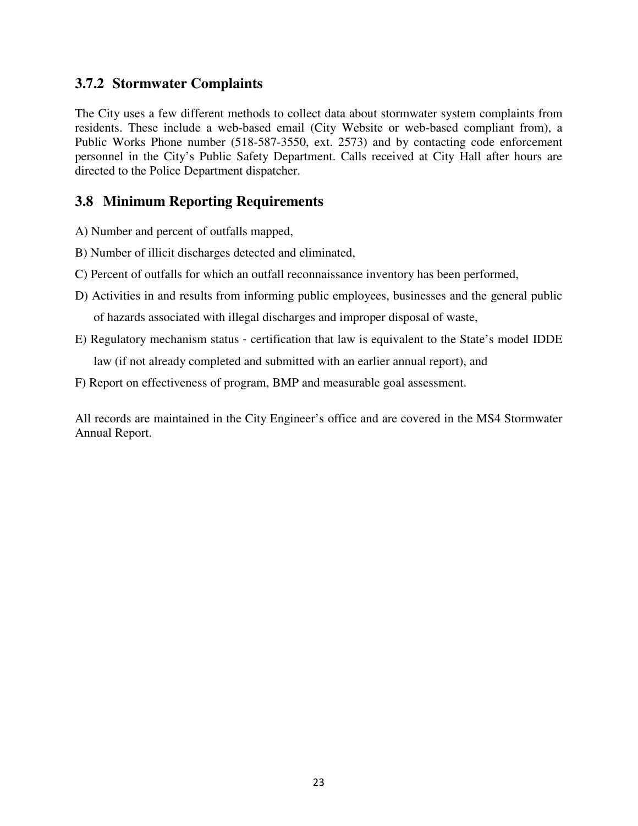#### **3.7.2 Stormwater Complaints**

The City uses a few different methods to collect data about stormwater system complaints from residents. These include a web-based email (City Website or web-based compliant from), a Public Works Phone number (518-587-3550, ext. 2573) and by contacting code enforcement personnel in the City's Public Safety Department. Calls received at City Hall after hours are directed to the Police Department dispatcher.

#### **3.8 Minimum Reporting Requirements**

- A) Number and percent of outfalls mapped,
- B) Number of illicit discharges detected and eliminated,
- C) Percent of outfalls for which an outfall reconnaissance inventory has been performed,
- D) Activities in and results from informing public employees, businesses and the general public of hazards associated with illegal discharges and improper disposal of waste,
- E) Regulatory mechanism status ‐ certification that law is equivalent to the State's model IDDE law (if not already completed and submitted with an earlier annual report), and
- F) Report on effectiveness of program, BMP and measurable goal assessment.

All records are maintained in the City Engineer's office and are covered in the MS4 Stormwater Annual Report.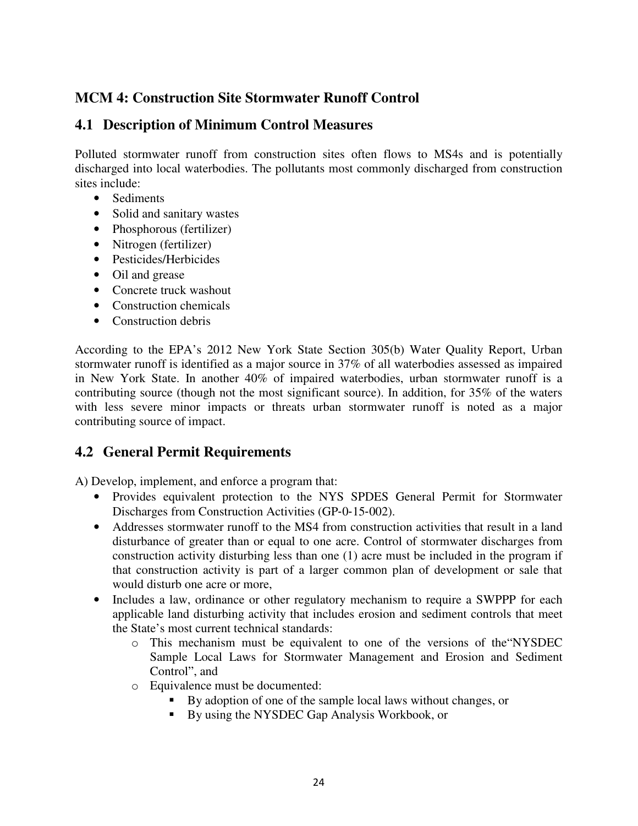### **MCM 4: Construction Site Stormwater Runoff Control**

#### **4.1 Description of Minimum Control Measures**

Polluted stormwater runoff from construction sites often flows to MS4s and is potentially discharged into local waterbodies. The pollutants most commonly discharged from construction sites include:

- Sediments
- Solid and sanitary wastes
- Phosphorous (fertilizer)
- Nitrogen (fertilizer)
- Pesticides/Herbicides
- Oil and grease
- Concrete truck washout
- Construction chemicals
- Construction debris

According to the EPA's 2012 New York State Section 305(b) Water Quality Report, Urban stormwater runoff is identified as a major source in 37% of all waterbodies assessed as impaired in New York State. In another 40% of impaired waterbodies, urban stormwater runoff is a contributing source (though not the most significant source). In addition, for 35% of the waters with less severe minor impacts or threats urban stormwater runoff is noted as a major contributing source of impact.

## **4.2 General Permit Requirements**

A) Develop, implement, and enforce a program that:

- Provides equivalent protection to the NYS SPDES General Permit for Stormwater Discharges from Construction Activities (GP‐0‐15‐002).
- Addresses stormwater runoff to the MS4 from construction activities that result in a land disturbance of greater than or equal to one acre. Control of stormwater discharges from construction activity disturbing less than one (1) acre must be included in the program if that construction activity is part of a larger common plan of development or sale that would disturb one acre or more,
- Includes a law, ordinance or other regulatory mechanism to require a SWPPP for each applicable land disturbing activity that includes erosion and sediment controls that meet the State's most current technical standards:
	- o This mechanism must be equivalent to one of the versions of the"NYSDEC Sample Local Laws for Stormwater Management and Erosion and Sediment Control", and
	- o Equivalence must be documented:
		- By adoption of one of the sample local laws without changes, or
		- By using the NYSDEC Gap Analysis Workbook, or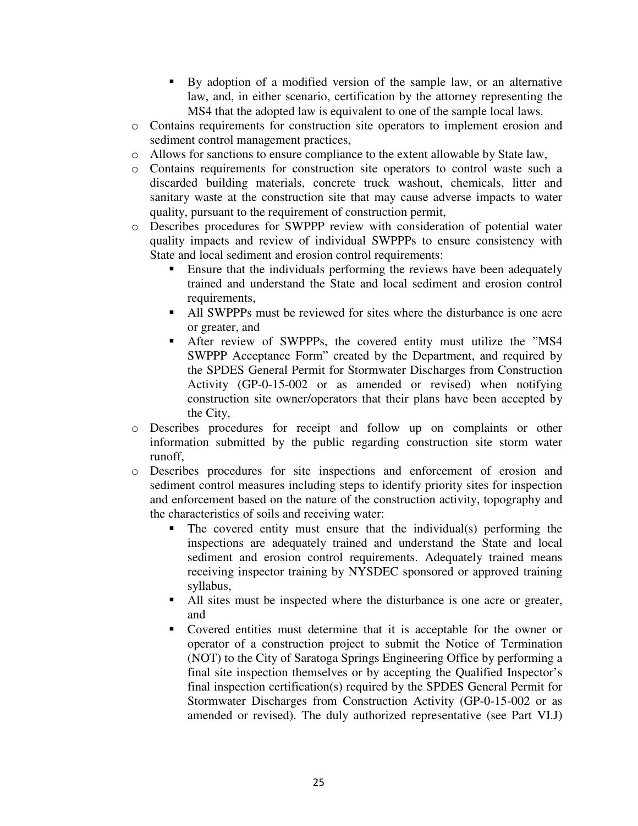- By adoption of a modified version of the sample law, or an alternative law, and, in either scenario, certification by the attorney representing the MS4 that the adopted law is equivalent to one of the sample local laws.
- o Contains requirements for construction site operators to implement erosion and sediment control management practices,
- o Allows for sanctions to ensure compliance to the extent allowable by State law,
- o Contains requirements for construction site operators to control waste such a discarded building materials, concrete truck washout, chemicals, litter and sanitary waste at the construction site that may cause adverse impacts to water quality, pursuant to the requirement of construction permit,
- o Describes procedures for SWPPP review with consideration of potential water quality impacts and review of individual SWPPPs to ensure consistency with State and local sediment and erosion control requirements:
	- **Ensure that the individuals performing the reviews have been adequately** trained and understand the State and local sediment and erosion control requirements,
	- All SWPPPs must be reviewed for sites where the disturbance is one acre or greater, and
	- After review of SWPPPs, the covered entity must utilize the "MS4 SWPPP Acceptance Form" created by the Department, and required by the SPDES General Permit for Stormwater Discharges from Construction Activity (GP-0-15-002 or as amended or revised) when notifying construction site owner/operators that their plans have been accepted by the City,
- o Describes procedures for receipt and follow up on complaints or other information submitted by the public regarding construction site storm water runoff,
- o Describes procedures for site inspections and enforcement of erosion and sediment control measures including steps to identify priority sites for inspection and enforcement based on the nature of the construction activity, topography and the characteristics of soils and receiving water:
	- The covered entity must ensure that the individual(s) performing the inspections are adequately trained and understand the State and local sediment and erosion control requirements. Adequately trained means receiving inspector training by NYSDEC sponsored or approved training syllabus,
	- All sites must be inspected where the disturbance is one acre or greater, and
	- Covered entities must determine that it is acceptable for the owner or operator of a construction project to submit the Notice of Termination (NOT) to the City of Saratoga Springs Engineering Office by performing a final site inspection themselves or by accepting the Qualified Inspector's final inspection certification(s) required by the SPDES General Permit for Stormwater Discharges from Construction Activity (GP-0-15-002 or as amended or revised). The duly authorized representative (see Part VI.J)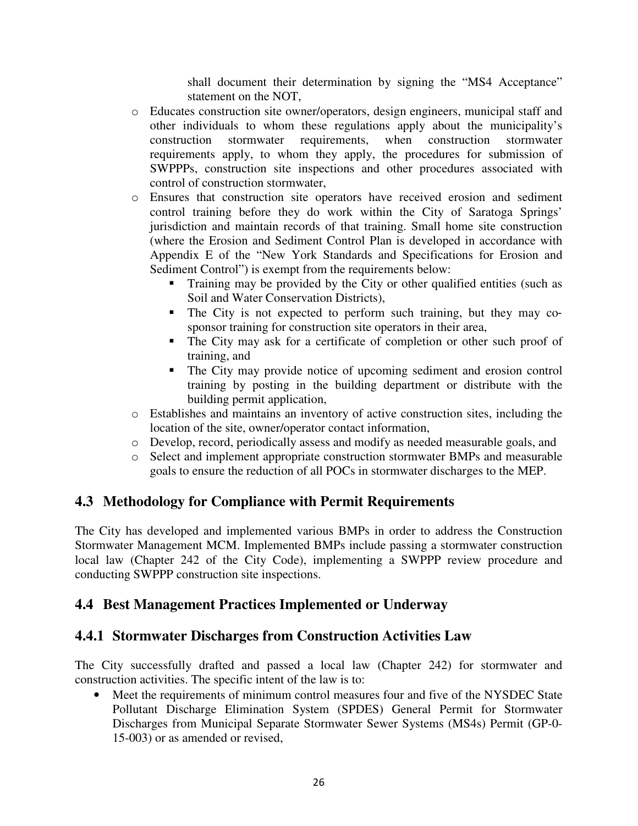shall document their determination by signing the "MS4 Acceptance" statement on the NOT,

- o Educates construction site owner/operators, design engineers, municipal staff and other individuals to whom these regulations apply about the municipality's construction stormwater requirements, when construction stormwater requirements apply, to whom they apply, the procedures for submission of SWPPPs, construction site inspections and other procedures associated with control of construction stormwater,
- o Ensures that construction site operators have received erosion and sediment control training before they do work within the City of Saratoga Springs' jurisdiction and maintain records of that training. Small home site construction (where the Erosion and Sediment Control Plan is developed in accordance with Appendix E of the "New York Standards and Specifications for Erosion and Sediment Control") is exempt from the requirements below:
	- Training may be provided by the City or other qualified entities (such as Soil and Water Conservation Districts),
	- The City is not expected to perform such training, but they may cosponsor training for construction site operators in their area,
	- The City may ask for a certificate of completion or other such proof of training, and
	- The City may provide notice of upcoming sediment and erosion control training by posting in the building department or distribute with the building permit application,
- o Establishes and maintains an inventory of active construction sites, including the location of the site, owner/operator contact information,
- o Develop, record, periodically assess and modify as needed measurable goals, and
- o Select and implement appropriate construction stormwater BMPs and measurable goals to ensure the reduction of all POCs in stormwater discharges to the MEP.

## **4.3 Methodology for Compliance with Permit Requirements**

The City has developed and implemented various BMPs in order to address the Construction Stormwater Management MCM. Implemented BMPs include passing a stormwater construction local law (Chapter 242 of the City Code), implementing a SWPPP review procedure and conducting SWPPP construction site inspections.

## **4.4 Best Management Practices Implemented or Underway**

## **4.4.1 Stormwater Discharges from Construction Activities Law**

The City successfully drafted and passed a local law (Chapter 242) for stormwater and construction activities. The specific intent of the law is to:

Meet the requirements of minimum control measures four and five of the NYSDEC State Pollutant Discharge Elimination System (SPDES) General Permit for Stormwater Discharges from Municipal Separate Stormwater Sewer Systems (MS4s) Permit (GP-0- 15-003) or as amended or revised,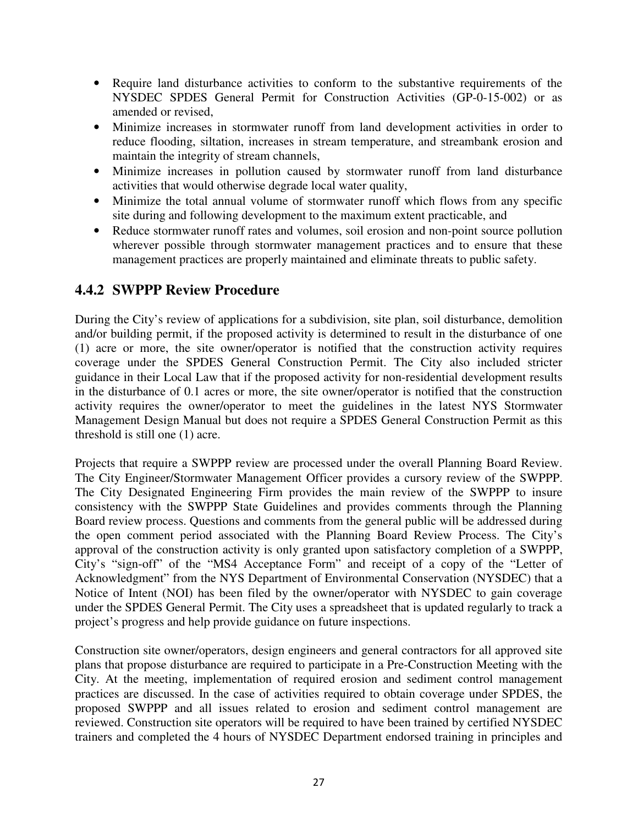- Require land disturbance activities to conform to the substantive requirements of the NYSDEC SPDES General Permit for Construction Activities (GP-0-15-002) or as amended or revised,
- Minimize increases in stormwater runoff from land development activities in order to reduce flooding, siltation, increases in stream temperature, and streambank erosion and maintain the integrity of stream channels,
- Minimize increases in pollution caused by stormwater runoff from land disturbance activities that would otherwise degrade local water quality,
- Minimize the total annual volume of stormwater runoff which flows from any specific site during and following development to the maximum extent practicable, and
- Reduce stormwater runoff rates and volumes, soil erosion and non-point source pollution wherever possible through stormwater management practices and to ensure that these management practices are properly maintained and eliminate threats to public safety.

### **4.4.2 SWPPP Review Procedure**

During the City's review of applications for a subdivision, site plan, soil disturbance, demolition and/or building permit, if the proposed activity is determined to result in the disturbance of one (1) acre or more, the site owner/operator is notified that the construction activity requires coverage under the SPDES General Construction Permit. The City also included stricter guidance in their Local Law that if the proposed activity for non-residential development results in the disturbance of 0.1 acres or more, the site owner/operator is notified that the construction activity requires the owner/operator to meet the guidelines in the latest NYS Stormwater Management Design Manual but does not require a SPDES General Construction Permit as this threshold is still one (1) acre.

Projects that require a SWPPP review are processed under the overall Planning Board Review. The City Engineer/Stormwater Management Officer provides a cursory review of the SWPPP. The City Designated Engineering Firm provides the main review of the SWPPP to insure consistency with the SWPPP State Guidelines and provides comments through the Planning Board review process. Questions and comments from the general public will be addressed during the open comment period associated with the Planning Board Review Process. The City's approval of the construction activity is only granted upon satisfactory completion of a SWPPP, City's "sign-off" of the "MS4 Acceptance Form" and receipt of a copy of the "Letter of Acknowledgment" from the NYS Department of Environmental Conservation (NYSDEC) that a Notice of Intent (NOI) has been filed by the owner/operator with NYSDEC to gain coverage under the SPDES General Permit. The City uses a spreadsheet that is updated regularly to track a project's progress and help provide guidance on future inspections.

Construction site owner/operators, design engineers and general contractors for all approved site plans that propose disturbance are required to participate in a Pre-Construction Meeting with the City. At the meeting, implementation of required erosion and sediment control management practices are discussed. In the case of activities required to obtain coverage under SPDES, the proposed SWPPP and all issues related to erosion and sediment control management are reviewed. Construction site operators will be required to have been trained by certified NYSDEC trainers and completed the 4 hours of NYSDEC Department endorsed training in principles and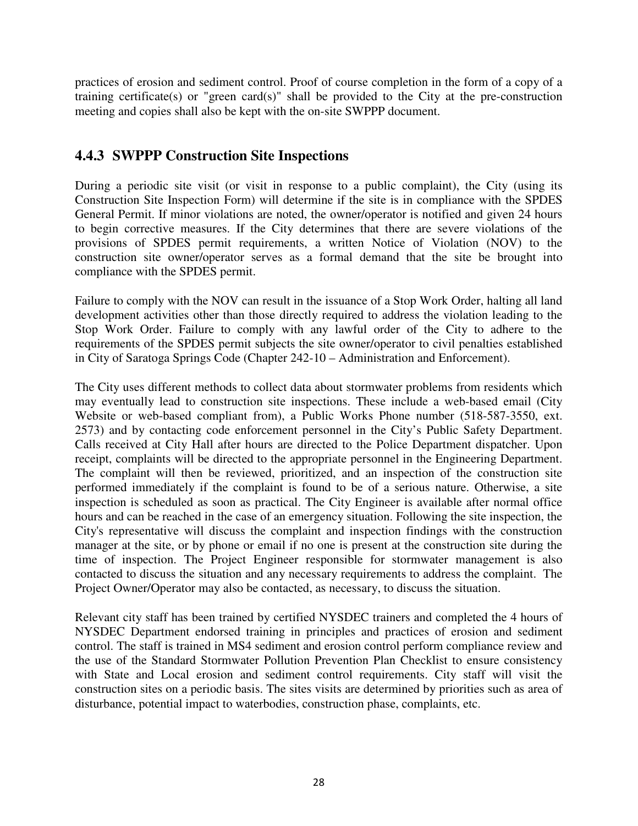practices of erosion and sediment control. Proof of course completion in the form of a copy of a training certificate(s) or "green card(s)" shall be provided to the City at the pre-construction meeting and copies shall also be kept with the on-site SWPPP document.

### **4.4.3 SWPPP Construction Site Inspections**

During a periodic site visit (or visit in response to a public complaint), the City (using its Construction Site Inspection Form) will determine if the site is in compliance with the SPDES General Permit. If minor violations are noted, the owner/operator is notified and given 24 hours to begin corrective measures. If the City determines that there are severe violations of the provisions of SPDES permit requirements, a written Notice of Violation (NOV) to the construction site owner/operator serves as a formal demand that the site be brought into compliance with the SPDES permit.

Failure to comply with the NOV can result in the issuance of a Stop Work Order, halting all land development activities other than those directly required to address the violation leading to the Stop Work Order. Failure to comply with any lawful order of the City to adhere to the requirements of the SPDES permit subjects the site owner/operator to civil penalties established in City of Saratoga Springs Code (Chapter 242-10 – Administration and Enforcement).

The City uses different methods to collect data about stormwater problems from residents which may eventually lead to construction site inspections. These include a web-based email (City Website or web-based compliant from), a Public Works Phone number (518-587-3550, ext. 2573) and by contacting code enforcement personnel in the City's Public Safety Department. Calls received at City Hall after hours are directed to the Police Department dispatcher. Upon receipt, complaints will be directed to the appropriate personnel in the Engineering Department. The complaint will then be reviewed, prioritized, and an inspection of the construction site performed immediately if the complaint is found to be of a serious nature. Otherwise, a site inspection is scheduled as soon as practical. The City Engineer is available after normal office hours and can be reached in the case of an emergency situation. Following the site inspection, the City's representative will discuss the complaint and inspection findings with the construction manager at the site, or by phone or email if no one is present at the construction site during the time of inspection. The Project Engineer responsible for stormwater management is also contacted to discuss the situation and any necessary requirements to address the complaint. The Project Owner/Operator may also be contacted, as necessary, to discuss the situation.

Relevant city staff has been trained by certified NYSDEC trainers and completed the 4 hours of NYSDEC Department endorsed training in principles and practices of erosion and sediment control. The staff is trained in MS4 sediment and erosion control perform compliance review and the use of the Standard Stormwater Pollution Prevention Plan Checklist to ensure consistency with State and Local erosion and sediment control requirements. City staff will visit the construction sites on a periodic basis. The sites visits are determined by priorities such as area of disturbance, potential impact to waterbodies, construction phase, complaints, etc.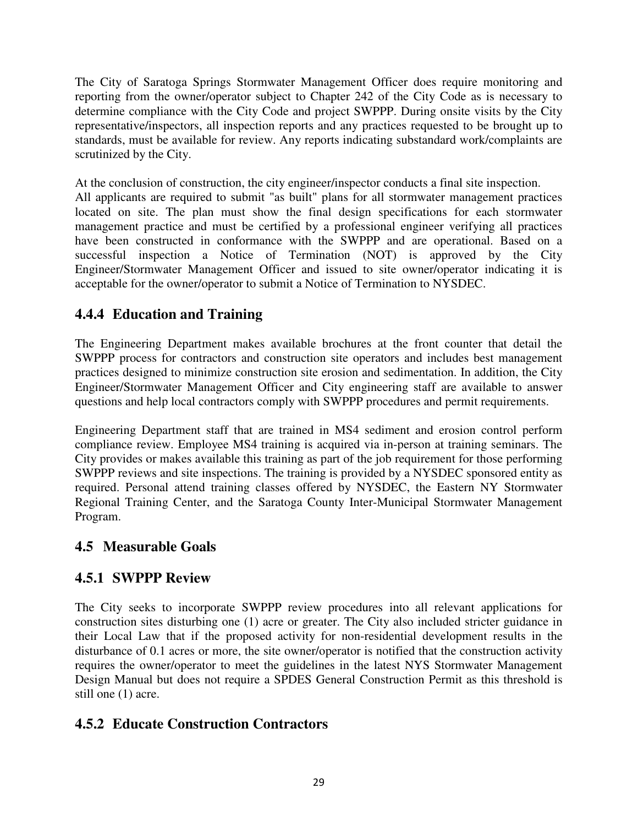The City of Saratoga Springs Stormwater Management Officer does require monitoring and reporting from the owner/operator subject to Chapter 242 of the City Code as is necessary to determine compliance with the City Code and project SWPPP. During onsite visits by the City representative/inspectors, all inspection reports and any practices requested to be brought up to standards, must be available for review. Any reports indicating substandard work/complaints are scrutinized by the City.

At the conclusion of construction, the city engineer/inspector conducts a final site inspection.

All applicants are required to submit "as built" plans for all stormwater management practices located on site. The plan must show the final design specifications for each stormwater management practice and must be certified by a professional engineer verifying all practices have been constructed in conformance with the SWPPP and are operational. Based on a successful inspection a Notice of Termination (NOT) is approved by the City Engineer/Stormwater Management Officer and issued to site owner/operator indicating it is acceptable for the owner/operator to submit a Notice of Termination to NYSDEC.

## **4.4.4 Education and Training**

The Engineering Department makes available brochures at the front counter that detail the SWPPP process for contractors and construction site operators and includes best management practices designed to minimize construction site erosion and sedimentation. In addition, the City Engineer/Stormwater Management Officer and City engineering staff are available to answer questions and help local contractors comply with SWPPP procedures and permit requirements.

Engineering Department staff that are trained in MS4 sediment and erosion control perform compliance review. Employee MS4 training is acquired via in-person at training seminars. The City provides or makes available this training as part of the job requirement for those performing SWPPP reviews and site inspections. The training is provided by a NYSDEC sponsored entity as required. Personal attend training classes offered by NYSDEC, the Eastern NY Stormwater Regional Training Center, and the Saratoga County Inter-Municipal Stormwater Management Program.

## **4.5 Measurable Goals**

## **4.5.1 SWPPP Review**

The City seeks to incorporate SWPPP review procedures into all relevant applications for construction sites disturbing one (1) acre or greater. The City also included stricter guidance in their Local Law that if the proposed activity for non-residential development results in the disturbance of 0.1 acres or more, the site owner/operator is notified that the construction activity requires the owner/operator to meet the guidelines in the latest NYS Stormwater Management Design Manual but does not require a SPDES General Construction Permit as this threshold is still one (1) acre.

## **4.5.2 Educate Construction Contractors**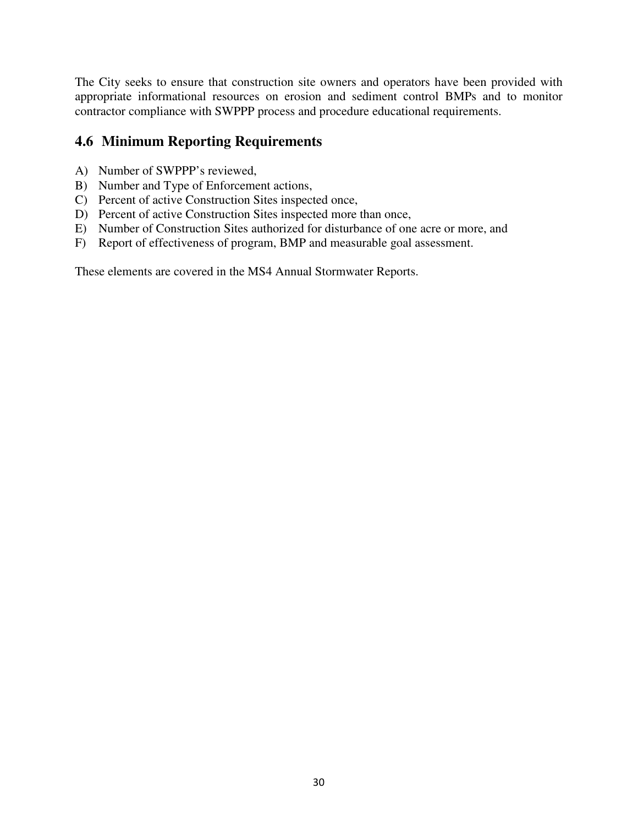The City seeks to ensure that construction site owners and operators have been provided with appropriate informational resources on erosion and sediment control BMPs and to monitor contractor compliance with SWPPP process and procedure educational requirements.

### **4.6 Minimum Reporting Requirements**

- A) Number of SWPPP's reviewed,
- B) Number and Type of Enforcement actions,
- C) Percent of active Construction Sites inspected once,
- D) Percent of active Construction Sites inspected more than once,
- E) Number of Construction Sites authorized for disturbance of one acre or more, and
- F) Report of effectiveness of program, BMP and measurable goal assessment.

These elements are covered in the MS4 Annual Stormwater Reports.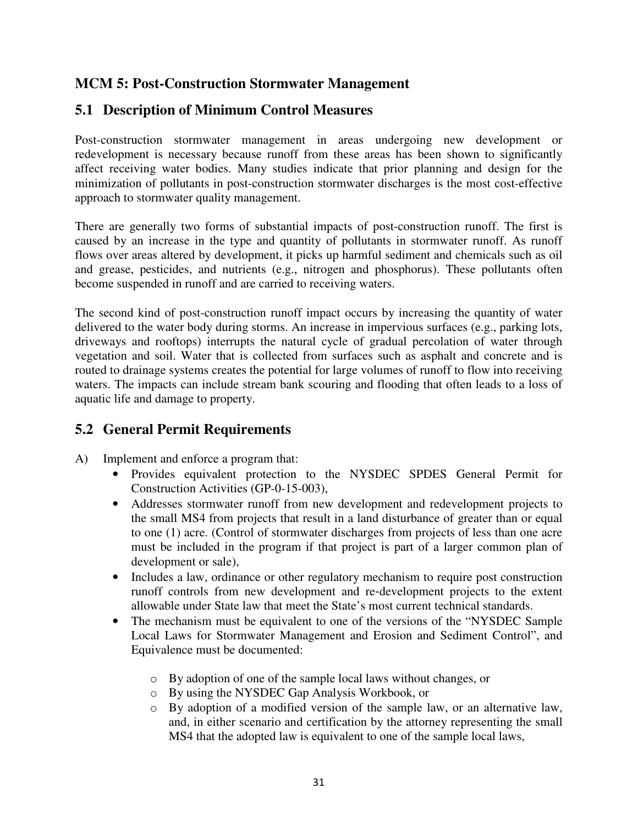### **MCM 5: Post-Construction Stormwater Management**

## **5.1 Description of Minimum Control Measures**

Post-construction stormwater management in areas undergoing new development or redevelopment is necessary because runoff from these areas has been shown to significantly affect receiving water bodies. Many studies indicate that prior planning and design for the minimization of pollutants in post-construction stormwater discharges is the most cost-effective approach to stormwater quality management.

There are generally two forms of substantial impacts of post-construction runoff. The first is caused by an increase in the type and quantity of pollutants in stormwater runoff. As runoff flows over areas altered by development, it picks up harmful sediment and chemicals such as oil and grease, pesticides, and nutrients (e.g., nitrogen and phosphorus). These pollutants often become suspended in runoff and are carried to receiving waters.

The second kind of post-construction runoff impact occurs by increasing the quantity of water delivered to the water body during storms. An increase in impervious surfaces (e.g., parking lots, driveways and rooftops) interrupts the natural cycle of gradual percolation of water through vegetation and soil. Water that is collected from surfaces such as asphalt and concrete and is routed to drainage systems creates the potential for large volumes of runoff to flow into receiving waters. The impacts can include stream bank scouring and flooding that often leads to a loss of aquatic life and damage to property.

## **5.2 General Permit Requirements**

- A) Implement and enforce a program that:
	- Provides equivalent protection to the NYSDEC SPDES General Permit for Construction Activities (GP-0-15-003),
	- Addresses stormwater runoff from new development and redevelopment projects to the small MS4 from projects that result in a land disturbance of greater than or equal to one (1) acre. (Control of stormwater discharges from projects of less than one acre must be included in the program if that project is part of a larger common plan of development or sale),
	- Includes a law, ordinance or other regulatory mechanism to require post construction runoff controls from new development and re‐development projects to the extent allowable under State law that meet the State's most current technical standards.
	- The mechanism must be equivalent to one of the versions of the "NYSDEC Sample" Local Laws for Stormwater Management and Erosion and Sediment Control", and Equivalence must be documented:
		- o By adoption of one of the sample local laws without changes, or
		- o By using the NYSDEC Gap Analysis Workbook, or
		- o By adoption of a modified version of the sample law, or an alternative law, and, in either scenario and certification by the attorney representing the small MS4 that the adopted law is equivalent to one of the sample local laws,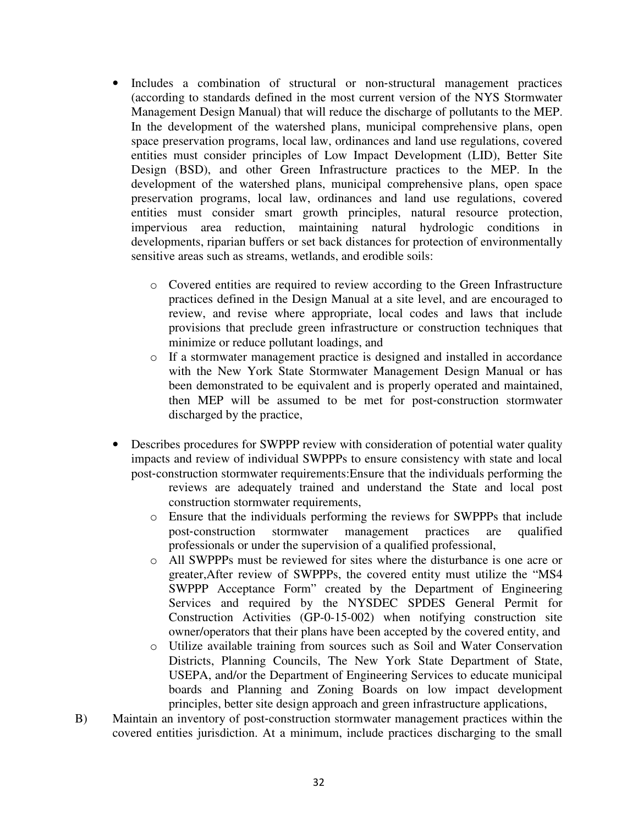- Includes a combination of structural or non-structural management practices (according to standards defined in the most current version of the NYS Stormwater Management Design Manual) that will reduce the discharge of pollutants to the MEP. In the development of the watershed plans, municipal comprehensive plans, open space preservation programs, local law, ordinances and land use regulations, covered entities must consider principles of Low Impact Development (LID), Better Site Design (BSD), and other Green Infrastructure practices to the MEP. In the development of the watershed plans, municipal comprehensive plans, open space preservation programs, local law, ordinances and land use regulations, covered entities must consider smart growth principles, natural resource protection, impervious area reduction, maintaining natural hydrologic conditions in developments, riparian buffers or set back distances for protection of environmentally sensitive areas such as streams, wetlands, and erodible soils:
	- o Covered entities are required to review according to the Green Infrastructure practices defined in the Design Manual at a site level, and are encouraged to review, and revise where appropriate, local codes and laws that include provisions that preclude green infrastructure or construction techniques that minimize or reduce pollutant loadings, and
	- o If a stormwater management practice is designed and installed in accordance with the New York State Stormwater Management Design Manual or has been demonstrated to be equivalent and is properly operated and maintained, then MEP will be assumed to be met for post-construction stormwater discharged by the practice,
- Describes procedures for SWPPP review with consideration of potential water quality impacts and review of individual SWPPPs to ensure consistency with state and local post-construction stormwater requirements: Ensure that the individuals performing the reviews are adequately trained and understand the State and local post
	- construction stormwater requirements, o Ensure that the individuals performing the reviews for SWPPPs that include
	- post-construction stormwater management practices are qualified professionals or under the supervision of a qualified professional,
	- o All SWPPPs must be reviewed for sites where the disturbance is one acre or greater,After review of SWPPPs, the covered entity must utilize the "MS4 SWPPP Acceptance Form" created by the Department of Engineering Services and required by the NYSDEC SPDES General Permit for Construction Activities (GP-0-15-002) when notifying construction site owner/operators that their plans have been accepted by the covered entity, and
	- o Utilize available training from sources such as Soil and Water Conservation Districts, Planning Councils, The New York State Department of State, USEPA, and/or the Department of Engineering Services to educate municipal boards and Planning and Zoning Boards on low impact development principles, better site design approach and green infrastructure applications,
- B) Maintain an inventory of post-construction stormwater management practices within the covered entities jurisdiction. At a minimum, include practices discharging to the small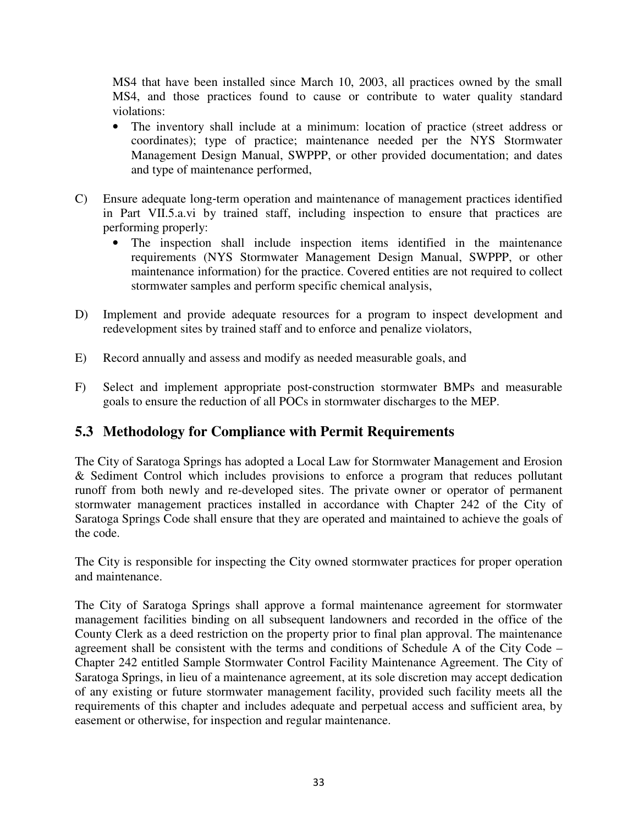MS4 that have been installed since March 10, 2003, all practices owned by the small MS4, and those practices found to cause or contribute to water quality standard violations:

- The inventory shall include at a minimum: location of practice (street address or coordinates); type of practice; maintenance needed per the NYS Stormwater Management Design Manual, SWPPP, or other provided documentation; and dates and type of maintenance performed,
- C) Ensure adequate long‐term operation and maintenance of management practices identified in Part VII.5.a.vi by trained staff, including inspection to ensure that practices are performing properly:
	- The inspection shall include inspection items identified in the maintenance requirements (NYS Stormwater Management Design Manual, SWPPP, or other maintenance information) for the practice. Covered entities are not required to collect stormwater samples and perform specific chemical analysis,
- D) Implement and provide adequate resources for a program to inspect development and redevelopment sites by trained staff and to enforce and penalize violators,
- E) Record annually and assess and modify as needed measurable goals, and
- F) Select and implement appropriate post-construction stormwater BMPs and measurable goals to ensure the reduction of all POCs in stormwater discharges to the MEP.

## **5.3 Methodology for Compliance with Permit Requirements**

The City of Saratoga Springs has adopted a Local Law for Stormwater Management and Erosion & Sediment Control which includes provisions to enforce a program that reduces pollutant runoff from both newly and re-developed sites. The private owner or operator of permanent stormwater management practices installed in accordance with Chapter 242 of the City of Saratoga Springs Code shall ensure that they are operated and maintained to achieve the goals of the code.

The City is responsible for inspecting the City owned stormwater practices for proper operation and maintenance.

The City of Saratoga Springs shall approve a formal maintenance agreement for stormwater management facilities binding on all subsequent landowners and recorded in the office of the County Clerk as a deed restriction on the property prior to final plan approval. The maintenance agreement shall be consistent with the terms and conditions of Schedule A of the City Code – Chapter 242 entitled Sample Stormwater Control Facility Maintenance Agreement. The City of Saratoga Springs, in lieu of a maintenance agreement, at its sole discretion may accept dedication of any existing or future stormwater management facility, provided such facility meets all the requirements of this chapter and includes adequate and perpetual access and sufficient area, by easement or otherwise, for inspection and regular maintenance.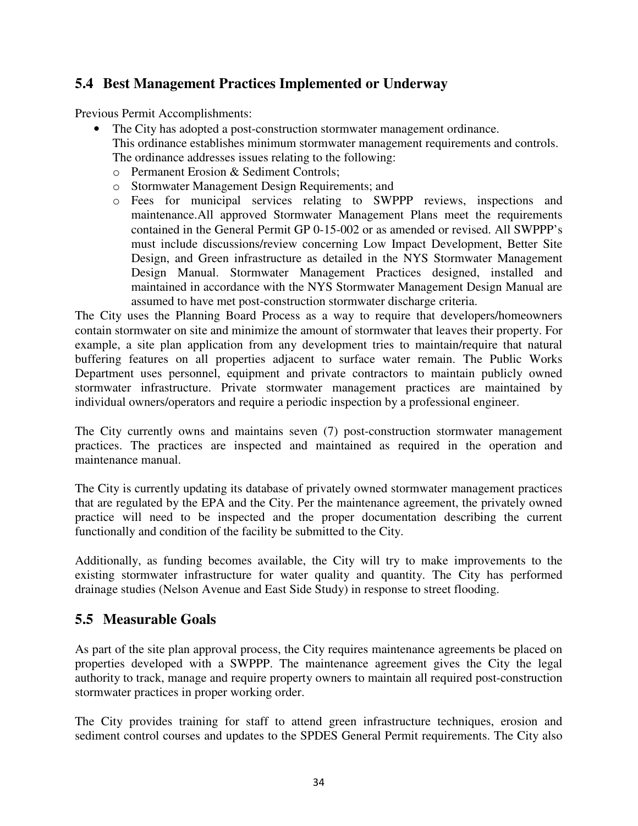### **5.4 Best Management Practices Implemented or Underway**

Previous Permit Accomplishments:

- The City has adopted a post-construction stormwater management ordinance. This ordinance establishes minimum stormwater management requirements and controls. The ordinance addresses issues relating to the following:
	- o Permanent Erosion & Sediment Controls;
	- o Stormwater Management Design Requirements; and
	- o Fees for municipal services relating to SWPPP reviews, inspections and maintenance.All approved Stormwater Management Plans meet the requirements contained in the General Permit GP 0-15-002 or as amended or revised. All SWPPP's must include discussions/review concerning Low Impact Development, Better Site Design, and Green infrastructure as detailed in the NYS Stormwater Management Design Manual. Stormwater Management Practices designed, installed and maintained in accordance with the NYS Stormwater Management Design Manual are assumed to have met post-construction stormwater discharge criteria.

The City uses the Planning Board Process as a way to require that developers/homeowners contain stormwater on site and minimize the amount of stormwater that leaves their property. For example, a site plan application from any development tries to maintain/require that natural buffering features on all properties adjacent to surface water remain. The Public Works Department uses personnel, equipment and private contractors to maintain publicly owned stormwater infrastructure. Private stormwater management practices are maintained by individual owners/operators and require a periodic inspection by a professional engineer.

The City currently owns and maintains seven (7) post-construction stormwater management practices. The practices are inspected and maintained as required in the operation and maintenance manual.

The City is currently updating its database of privately owned stormwater management practices that are regulated by the EPA and the City. Per the maintenance agreement, the privately owned practice will need to be inspected and the proper documentation describing the current functionally and condition of the facility be submitted to the City.

Additionally, as funding becomes available, the City will try to make improvements to the existing stormwater infrastructure for water quality and quantity. The City has performed drainage studies (Nelson Avenue and East Side Study) in response to street flooding.

#### **5.5 Measurable Goals**

As part of the site plan approval process, the City requires maintenance agreements be placed on properties developed with a SWPPP. The maintenance agreement gives the City the legal authority to track, manage and require property owners to maintain all required post-construction stormwater practices in proper working order.

The City provides training for staff to attend green infrastructure techniques, erosion and sediment control courses and updates to the SPDES General Permit requirements. The City also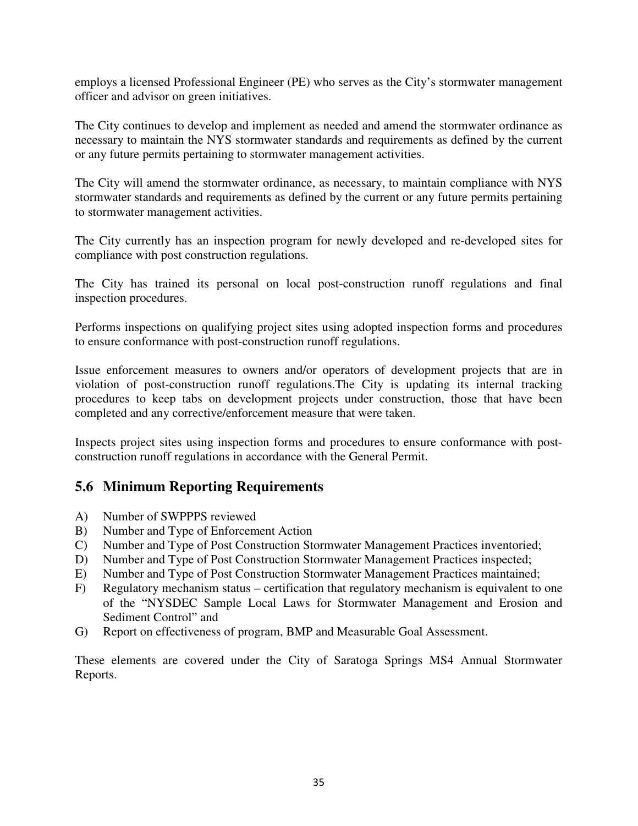employs a licensed Professional Engineer (PE) who serves as the City's stormwater management officer and advisor on green initiatives.

The City continues to develop and implement as needed and amend the stormwater ordinance as necessary to maintain the NYS stormwater standards and requirements as defined by the current or any future permits pertaining to stormwater management activities.

The City will amend the stormwater ordinance, as necessary, to maintain compliance with NYS stormwater standards and requirements as defined by the current or any future permits pertaining to stormwater management activities.

The City currently has an inspection program for newly developed and re-developed sites for compliance with post construction regulations.

The City has trained its personal on local post-construction runoff regulations and final inspection procedures.

Performs inspections on qualifying project sites using adopted inspection forms and procedures to ensure conformance with post-construction runoff regulations.

Issue enforcement measures to owners and/or operators of development projects that are in violation of post-construction runoff regulations.The City is updating its internal tracking procedures to keep tabs on development projects under construction, those that have been completed and any corrective/enforcement measure that were taken.

Inspects project sites using inspection forms and procedures to ensure conformance with postconstruction runoff regulations in accordance with the General Permit.

### **5.6 Minimum Reporting Requirements**

- A) Number of SWPPPS reviewed
- B) Number and Type of Enforcement Action
- C) Number and Type of Post Construction Stormwater Management Practices inventoried;
- D) Number and Type of Post Construction Stormwater Management Practices inspected;
- E) Number and Type of Post Construction Stormwater Management Practices maintained;
- F) Regulatory mechanism status certification that regulatory mechanism is equivalent to one of the "NYSDEC Sample Local Laws for Stormwater Management and Erosion and Sediment Control" and
- G) Report on effectiveness of program, BMP and Measurable Goal Assessment.

These elements are covered under the City of Saratoga Springs MS4 Annual Stormwater Reports.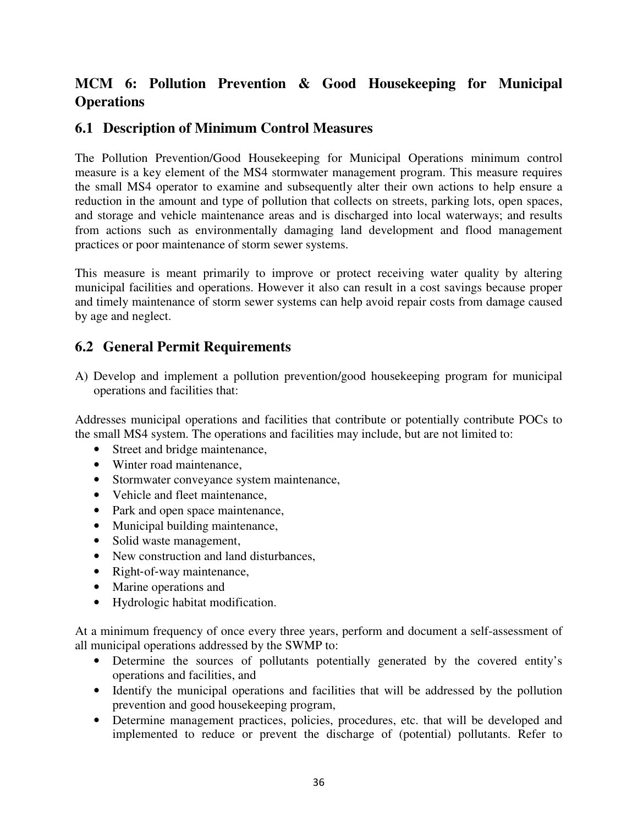## **MCM 6: Pollution Prevention & Good Housekeeping for Municipal Operations**

### **6.1 Description of Minimum Control Measures**

The Pollution Prevention/Good Housekeeping for Municipal Operations minimum control measure is a key element of the MS4 stormwater management program. This measure requires the small MS4 operator to examine and subsequently alter their own actions to help ensure a reduction in the amount and type of pollution that collects on streets, parking lots, open spaces, and storage and vehicle maintenance areas and is discharged into local waterways; and results from actions such as environmentally damaging land development and flood management practices or poor maintenance of storm sewer systems.

This measure is meant primarily to improve or protect receiving water quality by altering municipal facilities and operations. However it also can result in a cost savings because proper and timely maintenance of storm sewer systems can help avoid repair costs from damage caused by age and neglect.

### **6.2 General Permit Requirements**

A) Develop and implement a pollution prevention/good housekeeping program for municipal operations and facilities that:

Addresses municipal operations and facilities that contribute or potentially contribute POCs to the small MS4 system. The operations and facilities may include, but are not limited to:

- Street and bridge maintenance,
- Winter road maintenance,
- Stormwater conveyance system maintenance,
- Vehicle and fleet maintenance,
- Park and open space maintenance,
- Municipal building maintenance,
- Solid waste management.
- New construction and land disturbances,
- Right-of-way maintenance,
- Marine operations and
- Hydrologic habitat modification.

At a minimum frequency of once every three years, perform and document a self-assessment of all municipal operations addressed by the SWMP to:

- Determine the sources of pollutants potentially generated by the covered entity's operations and facilities, and
- Identify the municipal operations and facilities that will be addressed by the pollution prevention and good housekeeping program,
- Determine management practices, policies, procedures, etc. that will be developed and implemented to reduce or prevent the discharge of (potential) pollutants. Refer to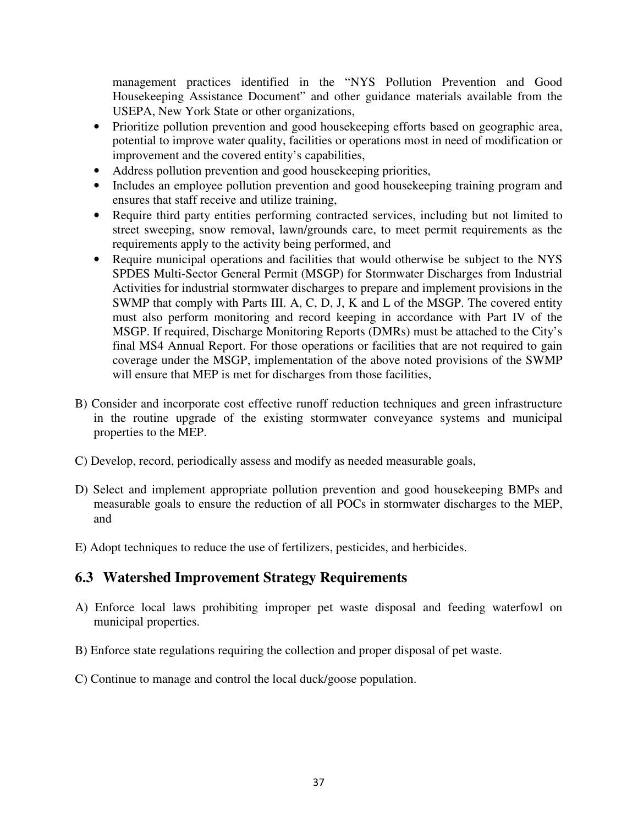management practices identified in the "NYS Pollution Prevention and Good Housekeeping Assistance Document" and other guidance materials available from the USEPA, New York State or other organizations,

- Prioritize pollution prevention and good house keeping efforts based on geographic area, potential to improve water quality, facilities or operations most in need of modification or improvement and the covered entity's capabilities,
- Address pollution prevention and good housekeeping priorities,
- Includes an employee pollution prevention and good house keeping training program and ensures that staff receive and utilize training,
- Require third party entities performing contracted services, including but not limited to street sweeping, snow removal, lawn/grounds care, to meet permit requirements as the requirements apply to the activity being performed, and
- Require municipal operations and facilities that would otherwise be subject to the NYS SPDES Multi-Sector General Permit (MSGP) for Stormwater Discharges from Industrial Activities for industrial stormwater discharges to prepare and implement provisions in the SWMP that comply with Parts III. A, C, D, J, K and L of the MSGP. The covered entity must also perform monitoring and record keeping in accordance with Part IV of the MSGP. If required, Discharge Monitoring Reports (DMRs) must be attached to the City's final MS4 Annual Report. For those operations or facilities that are not required to gain coverage under the MSGP, implementation of the above noted provisions of the SWMP will ensure that MEP is met for discharges from those facilities,
- B) Consider and incorporate cost effective runoff reduction techniques and green infrastructure in the routine upgrade of the existing stormwater conveyance systems and municipal properties to the MEP.
- C) Develop, record, periodically assess and modify as needed measurable goals,
- D) Select and implement appropriate pollution prevention and good housekeeping BMPs and measurable goals to ensure the reduction of all POCs in stormwater discharges to the MEP, and
- E) Adopt techniques to reduce the use of fertilizers, pesticides, and herbicides.

### **6.3 Watershed Improvement Strategy Requirements**

- A) Enforce local laws prohibiting improper pet waste disposal and feeding waterfowl on municipal properties.
- B) Enforce state regulations requiring the collection and proper disposal of pet waste.
- C) Continue to manage and control the local duck/goose population.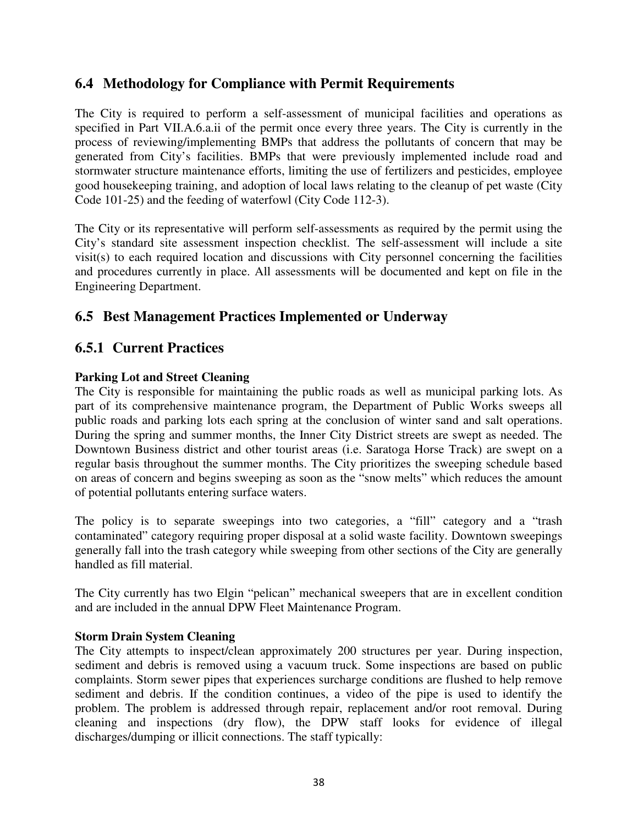#### **6.4 Methodology for Compliance with Permit Requirements**

The City is required to perform a self-assessment of municipal facilities and operations as specified in Part VII.A.6.a.ii of the permit once every three years. The City is currently in the process of reviewing/implementing BMPs that address the pollutants of concern that may be generated from City's facilities. BMPs that were previously implemented include road and stormwater structure maintenance efforts, limiting the use of fertilizers and pesticides, employee good housekeeping training, and adoption of local laws relating to the cleanup of pet waste (City Code 101-25) and the feeding of waterfowl (City Code 112-3).

The City or its representative will perform self-assessments as required by the permit using the City's standard site assessment inspection checklist. The self-assessment will include a site visit(s) to each required location and discussions with City personnel concerning the facilities and procedures currently in place. All assessments will be documented and kept on file in the Engineering Department.

### **6.5 Best Management Practices Implemented or Underway**

#### **6.5.1 Current Practices**

#### **Parking Lot and Street Cleaning**

The City is responsible for maintaining the public roads as well as municipal parking lots. As part of its comprehensive maintenance program, the Department of Public Works sweeps all public roads and parking lots each spring at the conclusion of winter sand and salt operations. During the spring and summer months, the Inner City District streets are swept as needed. The Downtown Business district and other tourist areas (i.e. Saratoga Horse Track) are swept on a regular basis throughout the summer months. The City prioritizes the sweeping schedule based on areas of concern and begins sweeping as soon as the "snow melts" which reduces the amount of potential pollutants entering surface waters.

The policy is to separate sweepings into two categories, a "fill" category and a "trash contaminated" category requiring proper disposal at a solid waste facility. Downtown sweepings generally fall into the trash category while sweeping from other sections of the City are generally handled as fill material.

The City currently has two Elgin "pelican" mechanical sweepers that are in excellent condition and are included in the annual DPW Fleet Maintenance Program.

#### **Storm Drain System Cleaning**

The City attempts to inspect/clean approximately 200 structures per year. During inspection, sediment and debris is removed using a vacuum truck. Some inspections are based on public complaints. Storm sewer pipes that experiences surcharge conditions are flushed to help remove sediment and debris. If the condition continues, a video of the pipe is used to identify the problem. The problem is addressed through repair, replacement and/or root removal. During cleaning and inspections (dry flow), the DPW staff looks for evidence of illegal discharges/dumping or illicit connections. The staff typically: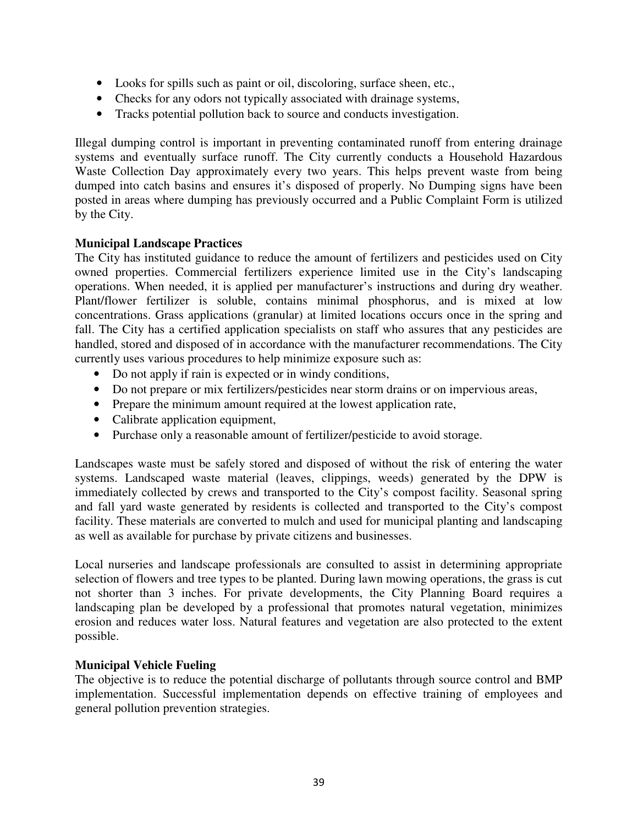- Looks for spills such as paint or oil, discoloring, surface sheen, etc.,
- Checks for any odors not typically associated with drainage systems,
- Tracks potential pollution back to source and conducts investigation.

Illegal dumping control is important in preventing contaminated runoff from entering drainage systems and eventually surface runoff. The City currently conducts a Household Hazardous Waste Collection Day approximately every two years. This helps prevent waste from being dumped into catch basins and ensures it's disposed of properly. No Dumping signs have been posted in areas where dumping has previously occurred and a Public Complaint Form is utilized by the City.

#### **Municipal Landscape Practices**

The City has instituted guidance to reduce the amount of fertilizers and pesticides used on City owned properties. Commercial fertilizers experience limited use in the City's landscaping operations. When needed, it is applied per manufacturer's instructions and during dry weather. Plant/flower fertilizer is soluble, contains minimal phosphorus, and is mixed at low concentrations. Grass applications (granular) at limited locations occurs once in the spring and fall. The City has a certified application specialists on staff who assures that any pesticides are handled, stored and disposed of in accordance with the manufacturer recommendations. The City currently uses various procedures to help minimize exposure such as:

- Do not apply if rain is expected or in windy conditions,
- Do not prepare or mix fertilizers/pesticides near storm drains or on impervious areas,
- Prepare the minimum amount required at the lowest application rate,
- Calibrate application equipment,
- Purchase only a reasonable amount of fertilizer/pesticide to avoid storage.

Landscapes waste must be safely stored and disposed of without the risk of entering the water systems. Landscaped waste material (leaves, clippings, weeds) generated by the DPW is immediately collected by crews and transported to the City's compost facility. Seasonal spring and fall yard waste generated by residents is collected and transported to the City's compost facility. These materials are converted to mulch and used for municipal planting and landscaping as well as available for purchase by private citizens and businesses.

Local nurseries and landscape professionals are consulted to assist in determining appropriate selection of flowers and tree types to be planted. During lawn mowing operations, the grass is cut not shorter than 3 inches. For private developments, the City Planning Board requires a landscaping plan be developed by a professional that promotes natural vegetation, minimizes erosion and reduces water loss. Natural features and vegetation are also protected to the extent possible.

#### **Municipal Vehicle Fueling**

The objective is to reduce the potential discharge of pollutants through source control and BMP implementation. Successful implementation depends on effective training of employees and general pollution prevention strategies.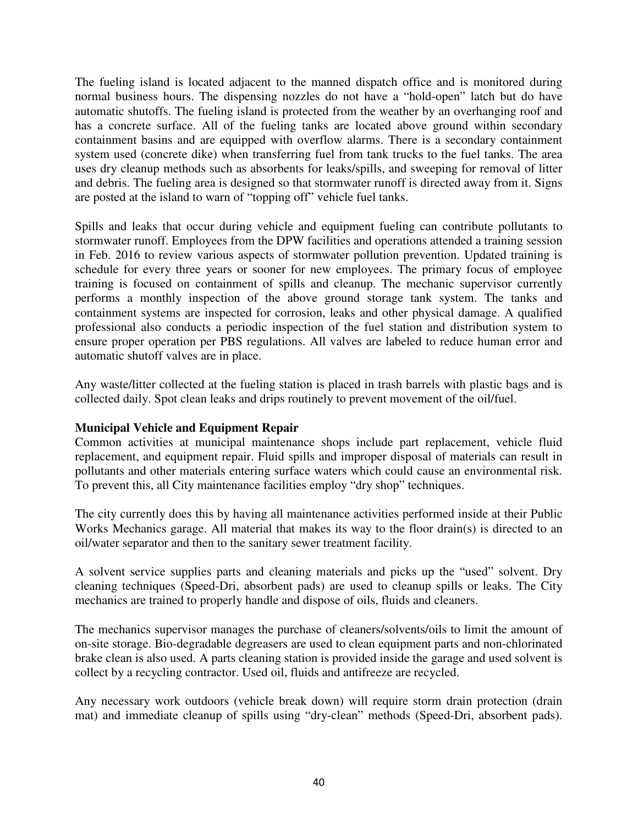The fueling island is located adjacent to the manned dispatch office and is monitored during normal business hours. The dispensing nozzles do not have a "hold-open" latch but do have automatic shutoffs. The fueling island is protected from the weather by an overhanging roof and has a concrete surface. All of the fueling tanks are located above ground within secondary containment basins and are equipped with overflow alarms. There is a secondary containment system used (concrete dike) when transferring fuel from tank trucks to the fuel tanks. The area uses dry cleanup methods such as absorbents for leaks/spills, and sweeping for removal of litter and debris. The fueling area is designed so that stormwater runoff is directed away from it. Signs are posted at the island to warn of "topping off" vehicle fuel tanks.

Spills and leaks that occur during vehicle and equipment fueling can contribute pollutants to stormwater runoff. Employees from the DPW facilities and operations attended a training session in Feb. 2016 to review various aspects of stormwater pollution prevention. Updated training is schedule for every three years or sooner for new employees. The primary focus of employee training is focused on containment of spills and cleanup. The mechanic supervisor currently performs a monthly inspection of the above ground storage tank system. The tanks and containment systems are inspected for corrosion, leaks and other physical damage. A qualified professional also conducts a periodic inspection of the fuel station and distribution system to ensure proper operation per PBS regulations. All valves are labeled to reduce human error and automatic shutoff valves are in place.

Any waste/litter collected at the fueling station is placed in trash barrels with plastic bags and is collected daily. Spot clean leaks and drips routinely to prevent movement of the oil/fuel.

#### **Municipal Vehicle and Equipment Repair**

Common activities at municipal maintenance shops include part replacement, vehicle fluid replacement, and equipment repair. Fluid spills and improper disposal of materials can result in pollutants and other materials entering surface waters which could cause an environmental risk. To prevent this, all City maintenance facilities employ "dry shop" techniques.

The city currently does this by having all maintenance activities performed inside at their Public Works Mechanics garage. All material that makes its way to the floor drain(s) is directed to an oil/water separator and then to the sanitary sewer treatment facility.

A solvent service supplies parts and cleaning materials and picks up the "used" solvent. Dry cleaning techniques (Speed-Dri, absorbent pads) are used to cleanup spills or leaks. The City mechanics are trained to properly handle and dispose of oils, fluids and cleaners.

The mechanics supervisor manages the purchase of cleaners/solvents/oils to limit the amount of on-site storage. Bio-degradable degreasers are used to clean equipment parts and non-chlorinated brake clean is also used. A parts cleaning station is provided inside the garage and used solvent is collect by a recycling contractor. Used oil, fluids and antifreeze are recycled.

Any necessary work outdoors (vehicle break down) will require storm drain protection (drain mat) and immediate cleanup of spills using "dry-clean" methods (Speed-Dri, absorbent pads).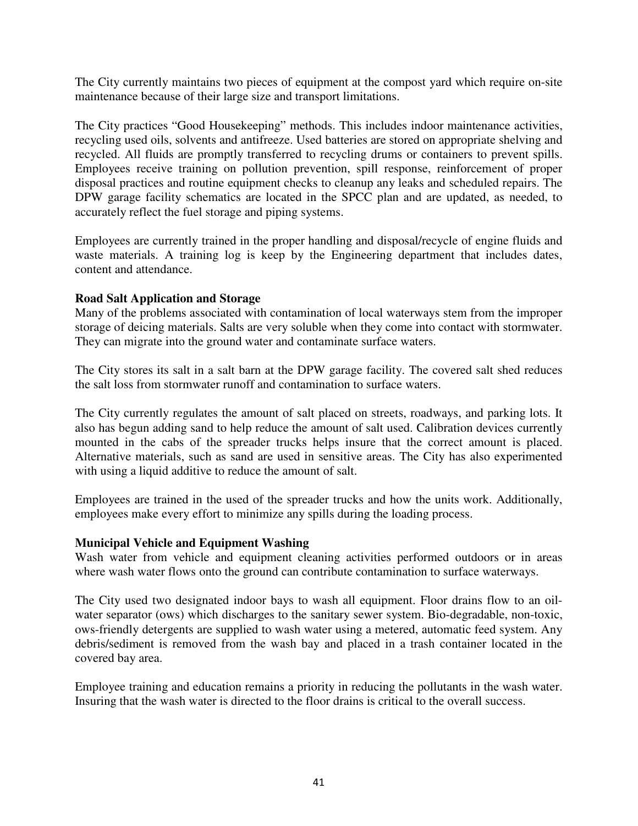The City currently maintains two pieces of equipment at the compost yard which require on-site maintenance because of their large size and transport limitations.

The City practices "Good Housekeeping" methods. This includes indoor maintenance activities, recycling used oils, solvents and antifreeze. Used batteries are stored on appropriate shelving and recycled. All fluids are promptly transferred to recycling drums or containers to prevent spills. Employees receive training on pollution prevention, spill response, reinforcement of proper disposal practices and routine equipment checks to cleanup any leaks and scheduled repairs. The DPW garage facility schematics are located in the SPCC plan and are updated, as needed, to accurately reflect the fuel storage and piping systems.

Employees are currently trained in the proper handling and disposal/recycle of engine fluids and waste materials. A training log is keep by the Engineering department that includes dates, content and attendance.

#### **Road Salt Application and Storage**

Many of the problems associated with contamination of local waterways stem from the improper storage of deicing materials. Salts are very soluble when they come into contact with stormwater. They can migrate into the ground water and contaminate surface waters.

The City stores its salt in a salt barn at the DPW garage facility. The covered salt shed reduces the salt loss from stormwater runoff and contamination to surface waters.

The City currently regulates the amount of salt placed on streets, roadways, and parking lots. It also has begun adding sand to help reduce the amount of salt used. Calibration devices currently mounted in the cabs of the spreader trucks helps insure that the correct amount is placed. Alternative materials, such as sand are used in sensitive areas. The City has also experimented with using a liquid additive to reduce the amount of salt.

Employees are trained in the used of the spreader trucks and how the units work. Additionally, employees make every effort to minimize any spills during the loading process.

#### **Municipal Vehicle and Equipment Washing**

Wash water from vehicle and equipment cleaning activities performed outdoors or in areas where wash water flows onto the ground can contribute contamination to surface waterways.

The City used two designated indoor bays to wash all equipment. Floor drains flow to an oilwater separator (ows) which discharges to the sanitary sewer system. Bio-degradable, non-toxic, ows-friendly detergents are supplied to wash water using a metered, automatic feed system. Any debris/sediment is removed from the wash bay and placed in a trash container located in the covered bay area.

Employee training and education remains a priority in reducing the pollutants in the wash water. Insuring that the wash water is directed to the floor drains is critical to the overall success.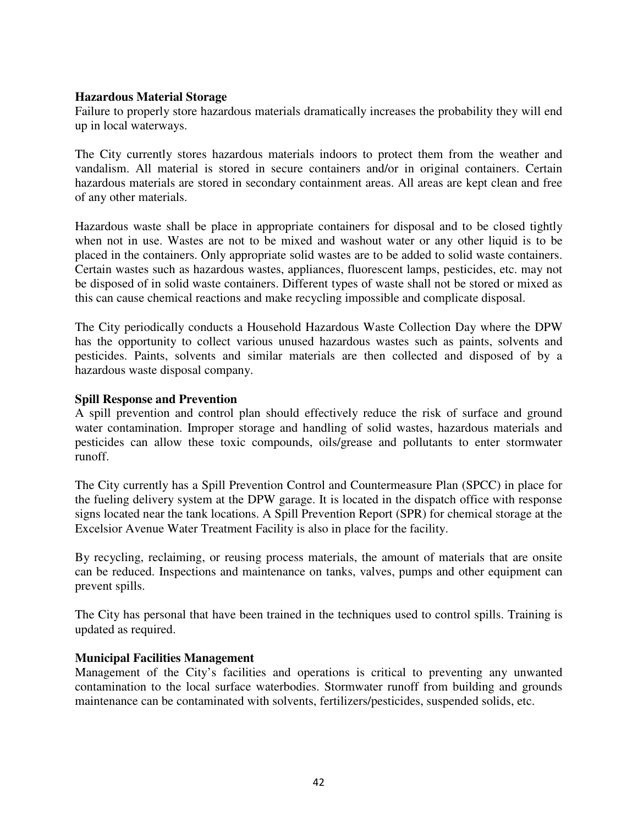#### **Hazardous Material Storage**

Failure to properly store hazardous materials dramatically increases the probability they will end up in local waterways.

The City currently stores hazardous materials indoors to protect them from the weather and vandalism. All material is stored in secure containers and/or in original containers. Certain hazardous materials are stored in secondary containment areas. All areas are kept clean and free of any other materials.

Hazardous waste shall be place in appropriate containers for disposal and to be closed tightly when not in use. Wastes are not to be mixed and washout water or any other liquid is to be placed in the containers. Only appropriate solid wastes are to be added to solid waste containers. Certain wastes such as hazardous wastes, appliances, fluorescent lamps, pesticides, etc. may not be disposed of in solid waste containers. Different types of waste shall not be stored or mixed as this can cause chemical reactions and make recycling impossible and complicate disposal.

The City periodically conducts a Household Hazardous Waste Collection Day where the DPW has the opportunity to collect various unused hazardous wastes such as paints, solvents and pesticides. Paints, solvents and similar materials are then collected and disposed of by a hazardous waste disposal company.

#### **Spill Response and Prevention**

A spill prevention and control plan should effectively reduce the risk of surface and ground water contamination. Improper storage and handling of solid wastes, hazardous materials and pesticides can allow these toxic compounds, oils/grease and pollutants to enter stormwater runoff.

The City currently has a Spill Prevention Control and Countermeasure Plan (SPCC) in place for the fueling delivery system at the DPW garage. It is located in the dispatch office with response signs located near the tank locations. A Spill Prevention Report (SPR) for chemical storage at the Excelsior Avenue Water Treatment Facility is also in place for the facility.

By recycling, reclaiming, or reusing process materials, the amount of materials that are onsite can be reduced. Inspections and maintenance on tanks, valves, pumps and other equipment can prevent spills.

The City has personal that have been trained in the techniques used to control spills. Training is updated as required.

#### **Municipal Facilities Management**

Management of the City's facilities and operations is critical to preventing any unwanted contamination to the local surface waterbodies. Stormwater runoff from building and grounds maintenance can be contaminated with solvents, fertilizers/pesticides, suspended solids, etc.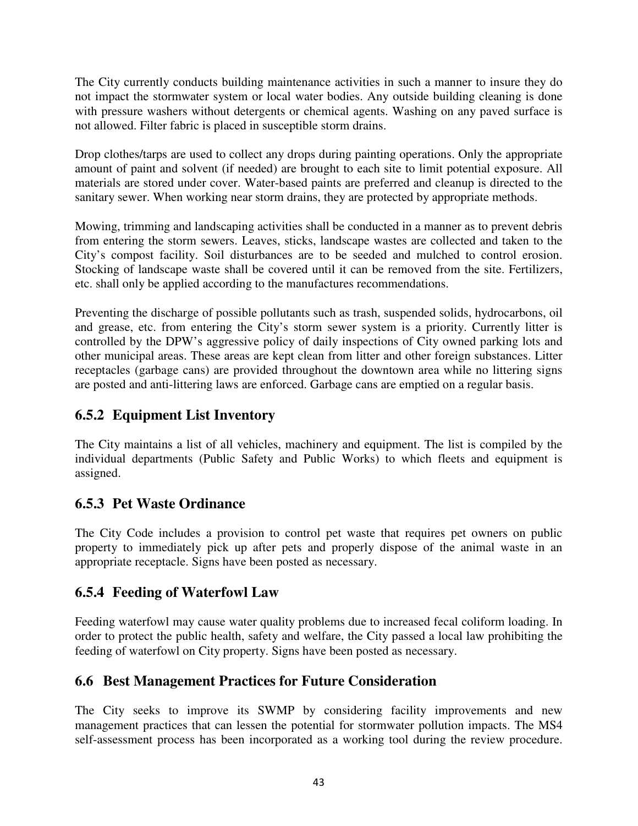The City currently conducts building maintenance activities in such a manner to insure they do not impact the stormwater system or local water bodies. Any outside building cleaning is done with pressure washers without detergents or chemical agents. Washing on any paved surface is not allowed. Filter fabric is placed in susceptible storm drains.

Drop clothes/tarps are used to collect any drops during painting operations. Only the appropriate amount of paint and solvent (if needed) are brought to each site to limit potential exposure. All materials are stored under cover. Water-based paints are preferred and cleanup is directed to the sanitary sewer. When working near storm drains, they are protected by appropriate methods.

Mowing, trimming and landscaping activities shall be conducted in a manner as to prevent debris from entering the storm sewers. Leaves, sticks, landscape wastes are collected and taken to the City's compost facility. Soil disturbances are to be seeded and mulched to control erosion. Stocking of landscape waste shall be covered until it can be removed from the site. Fertilizers, etc. shall only be applied according to the manufactures recommendations.

Preventing the discharge of possible pollutants such as trash, suspended solids, hydrocarbons, oil and grease, etc. from entering the City's storm sewer system is a priority. Currently litter is controlled by the DPW's aggressive policy of daily inspections of City owned parking lots and other municipal areas. These areas are kept clean from litter and other foreign substances. Litter receptacles (garbage cans) are provided throughout the downtown area while no littering signs are posted and anti-littering laws are enforced. Garbage cans are emptied on a regular basis.

## **6.5.2 Equipment List Inventory**

The City maintains a list of all vehicles, machinery and equipment. The list is compiled by the individual departments (Public Safety and Public Works) to which fleets and equipment is assigned.

## **6.5.3 Pet Waste Ordinance**

The City Code includes a provision to control pet waste that requires pet owners on public property to immediately pick up after pets and properly dispose of the animal waste in an appropriate receptacle. Signs have been posted as necessary.

### **6.5.4 Feeding of Waterfowl Law**

Feeding waterfowl may cause water quality problems due to increased fecal coliform loading. In order to protect the public health, safety and welfare, the City passed a local law prohibiting the feeding of waterfowl on City property. Signs have been posted as necessary.

## **6.6 Best Management Practices for Future Consideration**

The City seeks to improve its SWMP by considering facility improvements and new management practices that can lessen the potential for stormwater pollution impacts. The MS4 self-assessment process has been incorporated as a working tool during the review procedure.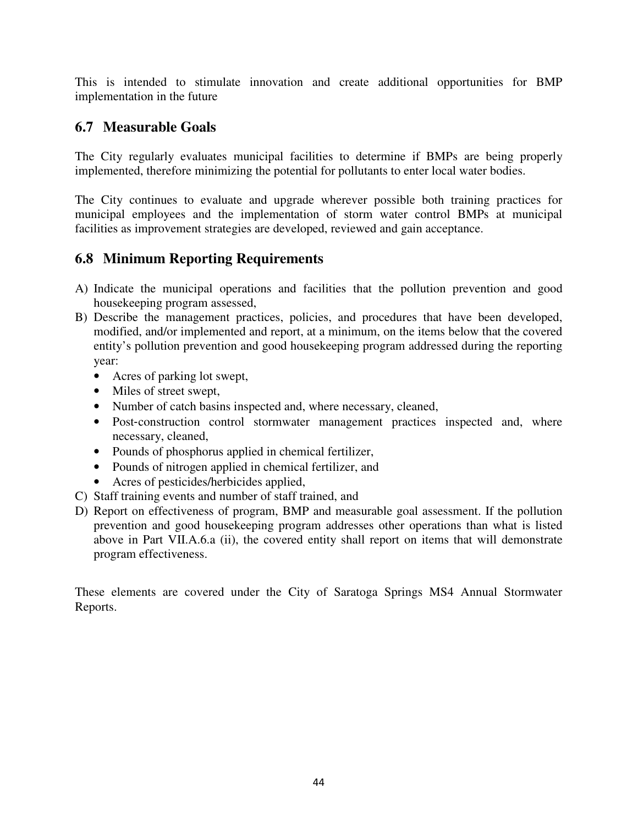This is intended to stimulate innovation and create additional opportunities for BMP implementation in the future

#### **6.7 Measurable Goals**

The City regularly evaluates municipal facilities to determine if BMPs are being properly implemented, therefore minimizing the potential for pollutants to enter local water bodies.

The City continues to evaluate and upgrade wherever possible both training practices for municipal employees and the implementation of storm water control BMPs at municipal facilities as improvement strategies are developed, reviewed and gain acceptance.

#### **6.8 Minimum Reporting Requirements**

- A) Indicate the municipal operations and facilities that the pollution prevention and good housekeeping program assessed,
- B) Describe the management practices, policies, and procedures that have been developed, modified, and/or implemented and report, at a minimum, on the items below that the covered entity's pollution prevention and good housekeeping program addressed during the reporting year:
	- Acres of parking lot swept,
	- Miles of street swept,
	- Number of catch basins inspected and, where necessary, cleaned,
	- Post-construction control stormwater management practices inspected and, where necessary, cleaned,
	- Pounds of phosphorus applied in chemical fertilizer,
	- Pounds of nitrogen applied in chemical fertilizer, and
	- Acres of pesticides/herbicides applied,
- C) Staff training events and number of staff trained, and
- D) Report on effectiveness of program, BMP and measurable goal assessment. If the pollution prevention and good housekeeping program addresses other operations than what is listed above in Part VII.A.6.a (ii), the covered entity shall report on items that will demonstrate program effectiveness.

These elements are covered under the City of Saratoga Springs MS4 Annual Stormwater Reports.